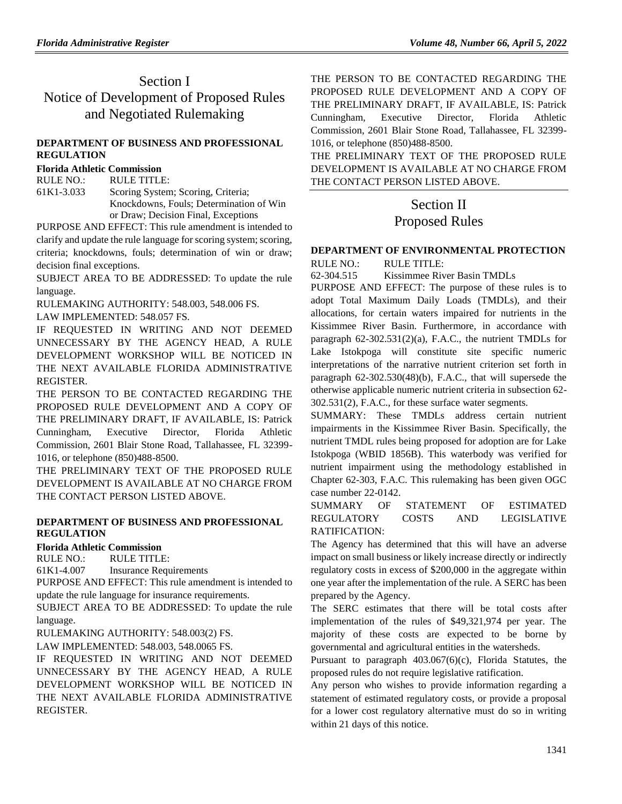# Section I Notice of Development of Proposed Rules and Negotiated Rulemaking

## **[DEPARTMENT OF BUSINESS AND PROFESSIONAL](https://www.flrules.org/gateway/department.asp?id=61)  [REGULATION](https://www.flrules.org/gateway/department.asp?id=61)**

# **[Florida Athletic Commission](https://www.flrules.org/gateway/organization.asp?id=285)**

RULE NO.: RULE TITLE:

[61K1-3.033](https://www.flrules.org/gateway/ruleNo.asp?id=61K1-3.033) Scoring System; Scoring, Criteria; Knockdowns, Fouls; Determination of Win or Draw; Decision Final, Exceptions

PURPOSE AND EFFECT: This rule amendment is intended to clarify and update the rule language for scoring system; scoring, criteria; knockdowns, fouls; determination of win or draw; decision final exceptions.

SUBJECT AREA TO BE ADDRESSED: To update the rule language.

RULEMAKING AUTHORITY: [548.003,](https://www.flrules.org/gateway/statute.asp?id=548.003) [548.006 FS.](https://www.flrules.org/gateway/statute.asp?id=%20548.006%20FS.)

LAW IMPLEMENTED: [548.057 FS.](https://www.flrules.org/gateway/statute.asp?id=548.057%20FS.)

IF REQUESTED IN WRITING AND NOT DEEMED UNNECESSARY BY THE AGENCY HEAD, A RULE DEVELOPMENT WORKSHOP WILL BE NOTICED IN THE NEXT AVAILABLE FLORIDA ADMINISTRATIVE REGISTER.

THE PERSON TO BE CONTACTED REGARDING THE PROPOSED RULE DEVELOPMENT AND A COPY OF THE PRELIMINARY DRAFT, IF AVAILABLE, IS: Patrick Cunningham, Executive Director, Florida Athletic Commission, 2601 Blair Stone Road, Tallahassee, FL 32399- 1016, or telephone (850)488-8500.

THE PRELIMINARY TEXT OF THE PROPOSED RULE DEVELOPMENT IS AVAILABLE AT NO CHARGE FROM THE CONTACT PERSON LISTED ABOVE.

## **[DEPARTMENT OF BUSINESS AND PROFESSIONAL](https://www.flrules.org/gateway/department.asp?id=61)  [REGULATION](https://www.flrules.org/gateway/department.asp?id=61)**

## **[Florida Athletic Commission](https://www.flrules.org/gateway/organization.asp?id=285)**

RULE NO.: RULE TITLE:

[61K1-4.007](https://www.flrules.org/gateway/ruleNo.asp?id=61K1-4.007) Insurance Requirements

PURPOSE AND EFFECT: This rule amendment is intended to update the rule language for insurance requirements.

SUBJECT AREA TO BE ADDRESSED: To update the rule language.

RULEMAKING AUTHORITY: [548.003\(2\) FS.](https://www.flrules.org/gateway/statute.asp?id=548.003(2)%20FS.)

LAW IMPLEMENTED: [548.003,](https://www.flrules.org/gateway/statute.asp?id=548.003) [548.0065 FS.](https://www.flrules.org/gateway/statute.asp?id=%20548.0065%20FS.)

IF REQUESTED IN WRITING AND NOT DEEMED UNNECESSARY BY THE AGENCY HEAD, A RULE DEVELOPMENT WORKSHOP WILL BE NOTICED IN THE NEXT AVAILABLE FLORIDA ADMINISTRATIVE REGISTER.

THE PERSON TO BE CONTACTED REGARDING THE PROPOSED RULE DEVELOPMENT AND A COPY OF THE PRELIMINARY DRAFT, IF AVAILABLE, IS: Patrick Cunningham, Executive Director, Florida Athletic Commission, 2601 Blair Stone Road, Tallahassee, FL 32399- 1016, or telephone (850)488-8500.

THE PRELIMINARY TEXT OF THE PROPOSED RULE DEVELOPMENT IS AVAILABLE AT NO CHARGE FROM THE CONTACT PERSON LISTED ABOVE.

# Section II

# Proposed Rules

# **[DEPARTMENT OF ENVIRONMENTAL PROTECTION](https://www.flrules.org/gateway/department.asp?id=62)**

RULE NO.: RULE TITLE:

[62-304.515](https://www.flrules.org/gateway/ruleNo.asp?id=62-304.515) Kissimmee River Basin TMDLs

PURPOSE AND EFFECT: The purpose of these rules is to adopt Total Maximum Daily Loads (TMDLs), and their allocations, for certain waters impaired for nutrients in the Kissimmee River Basin. Furthermore, in accordance with paragraph 62-302.531(2)(a), F.A.C., the nutrient TMDLs for Lake Istokpoga will constitute site specific numeric interpretations of the narrative nutrient criterion set forth in paragraph 62-302.530(48)(b), F.A.C., that will supersede the otherwise applicable numeric nutrient criteria in subsection 62- 302.531(2), F.A.C., for these surface water segments.

SUMMARY: These TMDLs address certain nutrient impairments in the Kissimmee River Basin. Specifically, the nutrient TMDL rules being proposed for adoption are for Lake Istokpoga (WBID 1856B). This waterbody was verified for nutrient impairment using the methodology established in Chapter 62-303, F.A.C. This rulemaking has been given OGC case number 22-0142.

## SUMMARY OF STATEMENT OF ESTIMATED REGULATORY COSTS AND LEGISLATIVE RATIFICATION:

The Agency has determined that this will have an adverse impact on small business or likely increase directly or indirectly regulatory costs in excess of \$200,000 in the aggregate within one year after the implementation of the rule. A SERC has been prepared by the Agency.

The SERC estimates that there will be total costs after implementation of the rules of \$49,321,974 per year. The majority of these costs are expected to be borne by governmental and agricultural entities in the watersheds.

Pursuant to paragraph 403.067(6)(c), Florida Statutes, the proposed rules do not require legislative ratification.

Any person who wishes to provide information regarding a statement of estimated regulatory costs, or provide a proposal for a lower cost regulatory alternative must do so in writing within 21 days of this notice.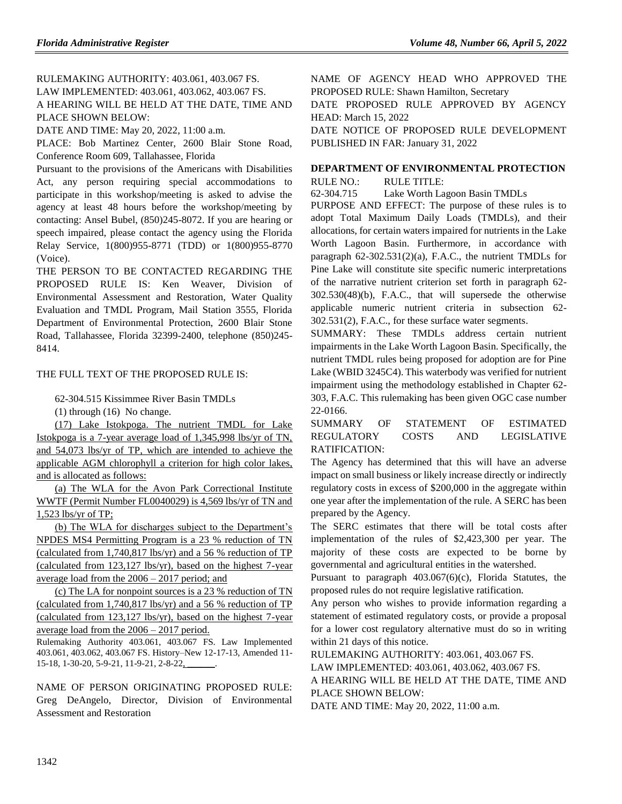RULEMAKING AUTHORITY: [403.061,](https://www.flrules.org/gateway/statute.asp?id=403.061) [403.067 FS.](https://www.flrules.org/gateway/statute.asp?id=%20403.067%20FS.) LAW IMPLEMENTED: [403.061,](https://www.flrules.org/gateway/statute.asp?id=403.061) [403.062,](https://www.flrules.org/gateway/statute.asp?id=%20403.062) [403.067 FS.](https://www.flrules.org/gateway/statute.asp?id=%20403.067%20FS.) A HEARING WILL BE HELD AT THE DATE, TIME AND PLACE SHOWN BELOW:

DATE AND TIME: May 20, 2022, 11:00 a.m.

PLACE: Bob Martinez Center, 2600 Blair Stone Road, Conference Room 609, Tallahassee, Florida

Pursuant to the provisions of the Americans with Disabilities Act, any person requiring special accommodations to participate in this workshop/meeting is asked to advise the agency at least 48 hours before the workshop/meeting by contacting: Ansel Bubel, (850)245-8072. If you are hearing or speech impaired, please contact the agency using the Florida Relay Service, 1(800)955-8771 (TDD) or 1(800)955-8770 (Voice).

THE PERSON TO BE CONTACTED REGARDING THE PROPOSED RULE IS: Ken Weaver, Division of Environmental Assessment and Restoration, Water Quality Evaluation and TMDL Program, Mail Station 3555, Florida Department of Environmental Protection, 2600 Blair Stone Road, Tallahassee, Florida 32399-2400, telephone (850)245- 8414.

## THE FULL TEXT OF THE PROPOSED RULE IS:

62-304.515 Kissimmee River Basin TMDLs

(1) through (16) No change.

(17) Lake Istokpoga. The nutrient TMDL for Lake Istokpoga is a 7-year average load of 1,345,998 lbs/yr of TN, and 54,073 lbs/yr of TP, which are intended to achieve the applicable AGM chlorophyll a criterion for high color lakes, and is allocated as follows:

(a) The WLA for the Avon Park Correctional Institute WWTF (Permit Number FL0040029) is 4,569 lbs/yr of TN and 1,523 lbs/yr of TP;

(b) The WLA for discharges subject to the Department's NPDES MS4 Permitting Program is a 23 % reduction of TN (calculated from 1,740,817 lbs/yr) and a 56 % reduction of TP (calculated from 123,127 lbs/yr), based on the highest 7-year average load from the 2006 – 2017 period; and

(c) The LA for nonpoint sources is a 23 % reduction of TN (calculated from 1,740,817 lbs/yr) and a 56 % reduction of TP (calculated from 123,127 lbs/yr), based on the highest 7-year average load from the 2006 – 2017 period.

Rulemaking Authority 403.061, 403.067 FS. Law Implemented 403.061, 403.062, 403.067 FS. History–New 12-17-13, Amended 11- 15-18, 1-30-20, 5-9-21, 11-9-21, 2-8-22,

NAME OF PERSON ORIGINATING PROPOSED RULE: Greg DeAngelo, Director, Division of Environmental Assessment and Restoration

NAME OF AGENCY HEAD WHO APPROVED THE PROPOSED RULE: Shawn Hamilton, Secretary

DATE PROPOSED RULE APPROVED BY AGENCY HEAD: March 15, 2022

DATE NOTICE OF PROPOSED RULE DEVELOPMENT PUBLISHED IN FAR: January 31, 2022

# **[DEPARTMENT OF ENVIRONMENTAL PROTECTION](https://www.flrules.org/gateway/department.asp?id=62)**

RULE NO.: RULE TITLE:

[62-304.715](https://www.flrules.org/gateway/ruleNo.asp?id=62-304.715) Lake Worth Lagoon Basin TMDLs

PURPOSE AND EFFECT: The purpose of these rules is to adopt Total Maximum Daily Loads (TMDLs), and their allocations, for certain waters impaired for nutrients in the Lake Worth Lagoon Basin. Furthermore, in accordance with paragraph 62-302.531(2)(a), F.A.C., the nutrient TMDLs for Pine Lake will constitute site specific numeric interpretations of the narrative nutrient criterion set forth in paragraph 62- 302.530(48)(b), F.A.C., that will supersede the otherwise applicable numeric nutrient criteria in subsection 62- 302.531(2), F.A.C., for these surface water segments.

SUMMARY: These TMDLs address certain nutrient impairments in the Lake Worth Lagoon Basin. Specifically, the nutrient TMDL rules being proposed for adoption are for Pine Lake (WBID 3245C4). This waterbody was verified for nutrient impairment using the methodology established in Chapter 62- 303, F.A.C. This rulemaking has been given OGC case number 22-0166.

SUMMARY OF STATEMENT OF ESTIMATED REGULATORY COSTS AND LEGISLATIVE RATIFICATION:

The Agency has determined that this will have an adverse impact on small business or likely increase directly or indirectly regulatory costs in excess of \$200,000 in the aggregate within one year after the implementation of the rule. A SERC has been prepared by the Agency.

The SERC estimates that there will be total costs after implementation of the rules of \$2,423,300 per year. The majority of these costs are expected to be borne by governmental and agricultural entities in the watershed.

Pursuant to paragraph 403.067(6)(c), Florida Statutes, the proposed rules do not require legislative ratification.

Any person who wishes to provide information regarding a statement of estimated regulatory costs, or provide a proposal for a lower cost regulatory alternative must do so in writing within 21 days of this notice.

RULEMAKING AUTHORITY: [403.061,](https://www.flrules.org/gateway/statute.asp?id=403.061) [403.067 FS.](https://www.flrules.org/gateway/statute.asp?id=%20403.067%20FS.)

LAW IMPLEMENTED: [403.061,](https://www.flrules.org/gateway/statute.asp?id=403.061) [403.062,](https://www.flrules.org/gateway/statute.asp?id=%20403.062) [403.067 FS.](https://www.flrules.org/gateway/statute.asp?id=%20403.067%20FS.)

A HEARING WILL BE HELD AT THE DATE, TIME AND PLACE SHOWN BELOW:

DATE AND TIME: May 20, 2022, 11:00 a.m.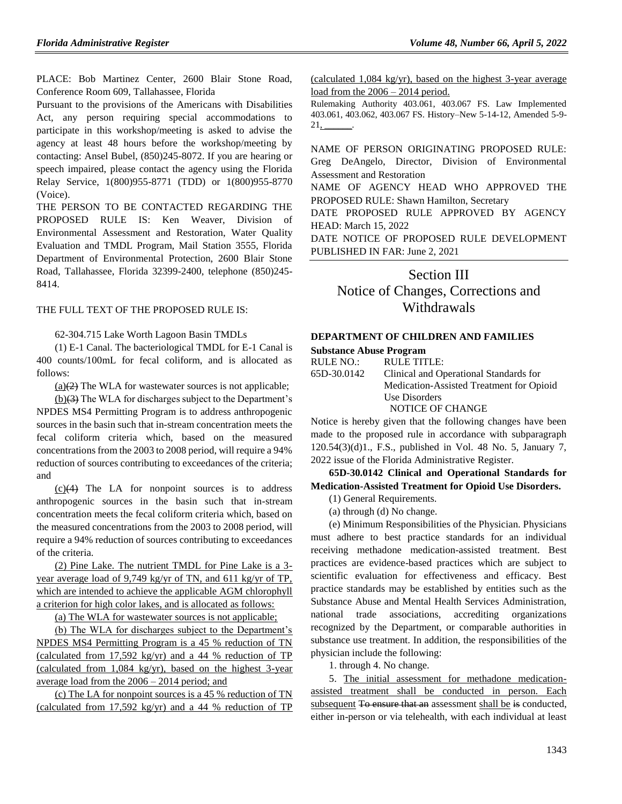PLACE: Bob Martinez Center, 2600 Blair Stone Road, Conference Room 609, Tallahassee, Florida

Pursuant to the provisions of the Americans with Disabilities Act, any person requiring special accommodations to participate in this workshop/meeting is asked to advise the agency at least 48 hours before the workshop/meeting by contacting: Ansel Bubel, (850)245-8072. If you are hearing or speech impaired, please contact the agency using the Florida Relay Service, 1(800)955-8771 (TDD) or 1(800)955-8770 (Voice).

THE PERSON TO BE CONTACTED REGARDING THE PROPOSED RULE IS: Ken Weaver, Division of Environmental Assessment and Restoration, Water Quality Evaluation and TMDL Program, Mail Station 3555, Florida Department of Environmental Protection, 2600 Blair Stone Road, Tallahassee, Florida 32399-2400, telephone (850)245- 8414.

#### THE FULL TEXT OF THE PROPOSED RULE IS:

62-304.715 Lake Worth Lagoon Basin TMDLs

(1) E-1 Canal. The bacteriological TMDL for E-1 Canal is 400 counts/100mL for fecal coliform, and is allocated as follows:

 $(a)(2)$  The WLA for wastewater sources is not applicable;

(b)(3) The WLA for discharges subject to the Department's NPDES MS4 Permitting Program is to address anthropogenic sources in the basin such that in-stream concentration meets the fecal coliform criteria which, based on the measured concentrations from the 2003 to 2008 period, will require a 94% reduction of sources contributing to exceedances of the criteria; and

(c)(4) The LA for nonpoint sources is to address anthropogenic sources in the basin such that in-stream concentration meets the fecal coliform criteria which, based on the measured concentrations from the 2003 to 2008 period, will require a 94% reduction of sources contributing to exceedances of the criteria.

(2) Pine Lake. The nutrient TMDL for Pine Lake is a 3 year average load of 9,749 kg/yr of TN, and 611 kg/yr of TP, which are intended to achieve the applicable AGM chlorophyll a criterion for high color lakes, and is allocated as follows:

(a) The WLA for wastewater sources is not applicable;

(b) The WLA for discharges subject to the Department's NPDES MS4 Permitting Program is a 45 % reduction of TN (calculated from 17,592 kg/yr) and a 44 % reduction of TP (calculated from 1,084 kg/yr), based on the highest 3-year average load from the 2006 – 2014 period; and

(c) The LA for nonpoint sources is a 45 % reduction of TN (calculated from 17,592 kg/yr) and a 44 % reduction of TP (calculated 1,084 kg/yr), based on the highest 3-year average load from the 2006 – 2014 period.

Rulemaking Authority 403.061, 403.067 FS. Law Implemented 403.061, 403.062, 403.067 FS. History–New 5-14-12, Amended 5-9- 21, \_\_\_\_\_\_.

NAME OF PERSON ORIGINATING PROPOSED RULE: Greg DeAngelo, Director, Division of Environmental Assessment and Restoration

NAME OF AGENCY HEAD WHO APPROVED THE PROPOSED RULE: Shawn Hamilton, Secretary

DATE PROPOSED RULE APPROVED BY AGENCY HEAD: March 15, 2022

DATE NOTICE OF PROPOSED RULE DEVELOPMENT PUBLISHED IN FAR: June 2, 2021

# Section III

Notice of Changes, Corrections and Withdrawals

### **[DEPARTMENT OF CHILDREN AND FAMILIES](https://www.flrules.org/gateway/department.asp?id=65)**

**[Substance Abuse Program](https://www.flrules.org/gateway/organization.asp?id=343)**

| RULE NO.:   | RULE TITLE:                              |
|-------------|------------------------------------------|
| 65D-30.0142 | Clinical and Operational Standards for   |
|             | Medication-Assisted Treatment for Opioid |
|             | Use Disorders                            |
|             |                                          |

NOTICE OF CHANGE

Notice is hereby given that the following changes have been made to the proposed rule in accordance with subparagraph 120.54(3)(d)1., F.S., published in Vol. 48 No. 5, January 7, 2022 issue of the Florida Administrative Register.

# **65D-30.0142 Clinical and Operational Standards for Medication-Assisted Treatment for Opioid Use Disorders.**

(1) General Requirements.

(a) through (d) No change.

(e) Minimum Responsibilities of the Physician. Physicians must adhere to best practice standards for an individual receiving methadone medication-assisted treatment. Best practices are evidence-based practices which are subject to scientific evaluation for effectiveness and efficacy. Best practice standards may be established by entities such as the Substance Abuse and Mental Health Services Administration, national trade associations, accrediting organizations recognized by the Department, or comparable authorities in substance use treatment. In addition, the responsibilities of the physician include the following:

1. through 4. No change.

5. The initial assessment for methadone medicationassisted treatment shall be conducted in person. Each subsequent To ensure that an assessment shall be is conducted, either in-person or via telehealth, with each individual at least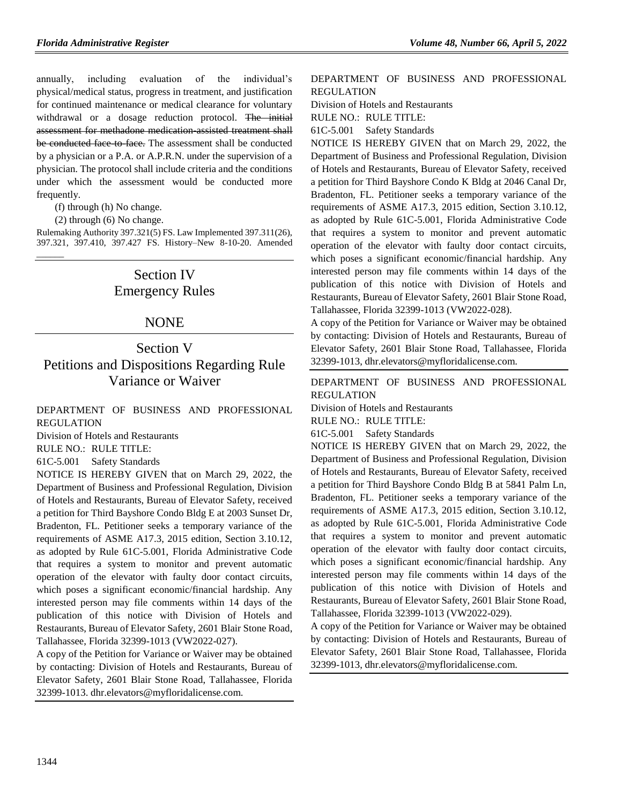annually, including evaluation of the individual's physical/medical status, progress in treatment, and justification for continued maintenance or medical clearance for voluntary withdrawal or a dosage reduction protocol. The initial assessment for methadone medication-assisted treatment shall be conducted face to face. The assessment shall be conducted by a physician or a P.A. or A.P.R.N. under the supervision of a physician. The protocol shall include criteria and the conditions under which the assessment would be conducted more frequently.

(f) through (h) No change.

(2) through (6) No change.

 $\overline{\phantom{a}}$ 

Rulemaking Authority 397.321(5) FS. Law Implemented 397.311(26), 397.321, 397.410, 397.427 FS. History–New 8-10-20. Amended

# Section IV Emergency Rules

## NONE

# Section V Petitions and Dispositions Regarding Rule Variance or Waiver

[DEPARTMENT OF BUSINESS AND PROFESSIONAL](https://www.flrules.org/gateway/department.asp?id=61)  [REGULATION](https://www.flrules.org/gateway/department.asp?id=61)

[Division of Hotels and Restaurants](https://www.flrules.org/gateway/organization.asp?id=249)

RULE NO.: RULE TITLE:

[61C-5.001](https://www.flrules.org/gateway/ruleNo.asp?id=61C-5.001) Safety Standards

NOTICE IS HEREBY GIVEN that on March 29, 2022, the Department of Business and Professional Regulation, Division of Hotels and Restaurants, Bureau of Elevator Safety, received a petition for Third Bayshore Condo Bldg E at 2003 Sunset Dr, Bradenton, FL. Petitioner seeks a temporary variance of the requirements of ASME A17.3, 2015 edition, Section 3.10.12, as adopted by Rule 61C-5.001, Florida Administrative Code that requires a system to monitor and prevent automatic operation of the elevator with faulty door contact circuits, which poses a significant economic/financial hardship. Any interested person may file comments within 14 days of the publication of this notice with Division of Hotels and Restaurants, Bureau of Elevator Safety, 2601 Blair Stone Road, Tallahassee, Florida 32399-1013 (VW2022-027).

A copy of the Petition for Variance or Waiver may be obtained by contacting: Division of Hotels and Restaurants, Bureau of Elevator Safety, 2601 Blair Stone Road, Tallahassee, Florida 32399-1013. dhr.elevators@myfloridalicense.com.

## [DEPARTMENT OF BUSINESS AND PROFESSIONAL](https://www.flrules.org/gateway/department.asp?id=61)  [REGULATION](https://www.flrules.org/gateway/department.asp?id=61)

[Division of Hotels and Restaurants](https://www.flrules.org/gateway/organization.asp?id=249)

RULE NO.: RULE TITLE:

[61C-5.001](https://www.flrules.org/gateway/ruleNo.asp?id=61C-5.001) Safety Standards

NOTICE IS HEREBY GIVEN that on March 29, 2022, the Department of Business and Professional Regulation, Division of Hotels and Restaurants, Bureau of Elevator Safety, received a petition for Third Bayshore Condo K Bldg at 2046 Canal Dr, Bradenton, FL. Petitioner seeks a temporary variance of the requirements of ASME A17.3, 2015 edition, Section 3.10.12, as adopted by Rule 61C-5.001, Florida Administrative Code that requires a system to monitor and prevent automatic operation of the elevator with faulty door contact circuits, which poses a significant economic/financial hardship. Any interested person may file comments within 14 days of the publication of this notice with Division of Hotels and Restaurants, Bureau of Elevator Safety, 2601 Blair Stone Road, Tallahassee, Florida 32399-1013 (VW2022-028).

A copy of the Petition for Variance or Waiver may be obtained by contacting: Division of Hotels and Restaurants, Bureau of Elevator Safety, 2601 Blair Stone Road, Tallahassee, Florida 32399-1013, dhr.elevators@myfloridalicense.com.

[DEPARTMENT OF BUSINESS AND PROFESSIONAL](https://www.flrules.org/gateway/department.asp?id=61)  [REGULATION](https://www.flrules.org/gateway/department.asp?id=61)

[Division of Hotels and Restaurants](https://www.flrules.org/gateway/organization.asp?id=249)

RULE NO.: RULE TITLE:

[61C-5.001](https://www.flrules.org/gateway/ruleNo.asp?id=61C-5.001) Safety Standards

NOTICE IS HEREBY GIVEN that on March 29, 2022, the Department of Business and Professional Regulation, Division of Hotels and Restaurants, Bureau of Elevator Safety, received a petition for Third Bayshore Condo Bldg B at 5841 Palm Ln, Bradenton, FL. Petitioner seeks a temporary variance of the requirements of ASME A17.3, 2015 edition, Section 3.10.12, as adopted by Rule 61C-5.001, Florida Administrative Code that requires a system to monitor and prevent automatic operation of the elevator with faulty door contact circuits, which poses a significant economic/financial hardship. Any interested person may file comments within 14 days of the publication of this notice with Division of Hotels and Restaurants, Bureau of Elevator Safety, 2601 Blair Stone Road, Tallahassee, Florida 32399-1013 (VW2022-029).

A copy of the Petition for Variance or Waiver may be obtained by contacting: Division of Hotels and Restaurants, Bureau of Elevator Safety, 2601 Blair Stone Road, Tallahassee, Florida 32399-1013, dhr.elevators@myfloridalicense.com.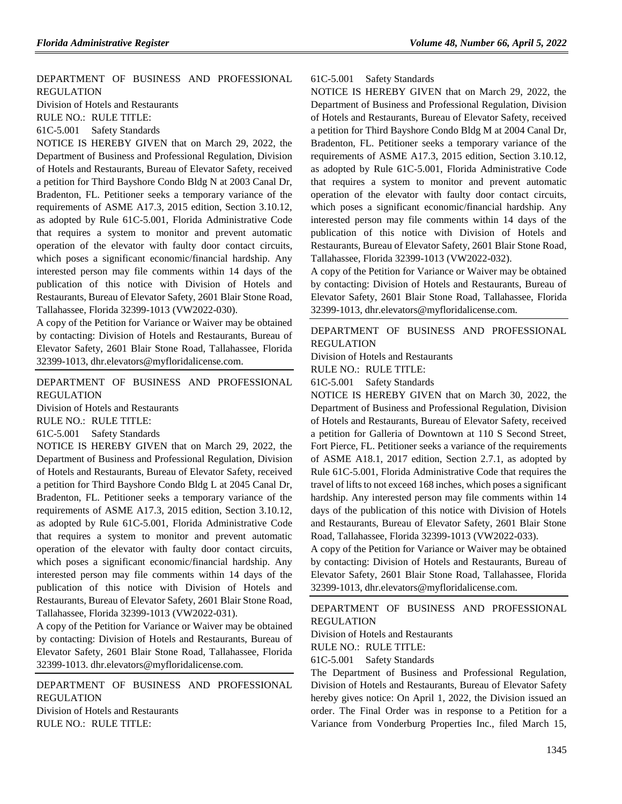[DEPARTMENT OF BUSINESS AND PROFESSIONAL](https://www.flrules.org/gateway/department.asp?id=61)  [REGULATION](https://www.flrules.org/gateway/department.asp?id=61)

[Division of Hotels and Restaurants](https://www.flrules.org/gateway/organization.asp?id=249)

RULE NO.: RULE TITLE:

[61C-5.001](https://www.flrules.org/gateway/ruleNo.asp?id=61C-5.001) Safety Standards

NOTICE IS HEREBY GIVEN that on March 29, 2022, the Department of Business and Professional Regulation, Division of Hotels and Restaurants, Bureau of Elevator Safety, received a petition for Third Bayshore Condo Bldg N at 2003 Canal Dr, Bradenton, FL. Petitioner seeks a temporary variance of the requirements of ASME A17.3, 2015 edition, Section 3.10.12, as adopted by Rule 61C-5.001, Florida Administrative Code that requires a system to monitor and prevent automatic operation of the elevator with faulty door contact circuits, which poses a significant economic/financial hardship. Any interested person may file comments within 14 days of the publication of this notice with Division of Hotels and Restaurants, Bureau of Elevator Safety, 2601 Blair Stone Road, Tallahassee, Florida 32399-1013 (VW2022-030).

A copy of the Petition for Variance or Waiver may be obtained by contacting: Division of Hotels and Restaurants, Bureau of Elevator Safety, 2601 Blair Stone Road, Tallahassee, Florida 32399-1013, dhr.elevators@myfloridalicense.com.

[DEPARTMENT OF BUSINESS AND PROFESSIONAL](https://www.flrules.org/gateway/department.asp?id=61)  [REGULATION](https://www.flrules.org/gateway/department.asp?id=61)

Division of [Hotels and Restaurants](https://www.flrules.org/gateway/organization.asp?id=249)

RULE NO.: RULE TITLE:

[61C-5.001](https://www.flrules.org/gateway/ruleNo.asp?id=61C-5.001) Safety Standards

NOTICE IS HEREBY GIVEN that on March 29, 2022, the Department of Business and Professional Regulation, Division of Hotels and Restaurants, Bureau of Elevator Safety, received a petition for Third Bayshore Condo Bldg L at 2045 Canal Dr, Bradenton, FL. Petitioner seeks a temporary variance of the requirements of ASME A17.3, 2015 edition, Section 3.10.12, as adopted by Rule 61C-5.001, Florida Administrative Code that requires a system to monitor and prevent automatic operation of the elevator with faulty door contact circuits, which poses a significant economic/financial hardship. Any interested person may file comments within 14 days of the publication of this notice with Division of Hotels and Restaurants, Bureau of Elevator Safety, 2601 Blair Stone Road, Tallahassee, Florida 32399-1013 (VW2022-031).

A copy of the Petition for Variance or Waiver may be obtained by contacting: Division of Hotels and Restaurants, Bureau of Elevator Safety, 2601 Blair Stone Road, Tallahassee, Florida 32399-1013. dhr.elevators@myfloridalicense.com.

[DEPARTMENT OF BUSINESS AND PROFESSIONAL](https://www.flrules.org/gateway/department.asp?id=61)  [REGULATION](https://www.flrules.org/gateway/department.asp?id=61) [Division of Hotels and Restaurants](https://www.flrules.org/gateway/organization.asp?id=249) RULE NO.: RULE TITLE:

[61C-5.001](https://www.flrules.org/gateway/ruleNo.asp?id=61C-5.001) Safety Standards

NOTICE IS HEREBY GIVEN that on March 29, 2022, the Department of Business and Professional Regulation, Division of Hotels and Restaurants, Bureau of Elevator Safety, received a petition for Third Bayshore Condo Bldg M at 2004 Canal Dr, Bradenton, FL. Petitioner seeks a temporary variance of the requirements of ASME A17.3, 2015 edition, Section 3.10.12, as adopted by Rule 61C-5.001, Florida Administrative Code that requires a system to monitor and prevent automatic operation of the elevator with faulty door contact circuits, which poses a significant economic/financial hardship. Any interested person may file comments within 14 days of the publication of this notice with Division of Hotels and Restaurants, Bureau of Elevator Safety, 2601 Blair Stone Road, Tallahassee, Florida 32399-1013 (VW2022-032).

A copy of the Petition for Variance or Waiver may be obtained by contacting: Division of Hotels and Restaurants, Bureau of Elevator Safety, 2601 Blair Stone Road, Tallahassee, Florida 32399-1013, dhr.elevators@myfloridalicense.com.

[DEPARTMENT OF BUSINESS AND PROFESSIONAL](https://www.flrules.org/gateway/department.asp?id=61)  [REGULATION](https://www.flrules.org/gateway/department.asp?id=61)

[Division of Hotels and Restaurants](https://www.flrules.org/gateway/organization.asp?id=249)

RULE NO.: RULE TITLE:

[61C-5.001](https://www.flrules.org/gateway/ruleNo.asp?id=61C-5.001) Safety Standards

NOTICE IS HEREBY GIVEN that on March 30, 2022, the Department of Business and Professional Regulation, Division of Hotels and Restaurants, Bureau of Elevator Safety, received a petition for Galleria of Downtown at 110 S Second Street, Fort Pierce, FL. Petitioner seeks a variance of the requirements of ASME A18.1, 2017 edition, Section 2.7.1, as adopted by Rule 61C-5.001, Florida Administrative Code that requires the travel of lifts to not exceed 168 inches, which poses a significant hardship. Any interested person may file comments within 14 days of the publication of this notice with Division of Hotels and Restaurants, Bureau of Elevator Safety, 2601 Blair Stone Road, Tallahassee, Florida 32399-1013 (VW2022-033).

A copy of the Petition for Variance or Waiver may be obtained by contacting: Division of Hotels and Restaurants, Bureau of Elevator Safety, 2601 Blair Stone Road, Tallahassee, Florida 32399-1013, dhr.elevators@myfloridalicense.com.

[DEPARTMENT OF BUSINESS AND PROFESSIONAL](https://www.flrules.org/gateway/department.asp?id=61)  [REGULATION](https://www.flrules.org/gateway/department.asp?id=61)

[Division of Hotels and Restaurants](https://www.flrules.org/gateway/organization.asp?id=249)

RULE NO.: RULE TITLE:

[61C-5.001](https://www.flrules.org/gateway/ruleNo.asp?id=61C-5.001) Safety Standards

The Department of Business and Professional Regulation, Division of Hotels and Restaurants, Bureau of Elevator Safety hereby gives notice: On April 1, 2022, the Division issued an order. The Final Order was in response to a Petition for a Variance from Vonderburg Properties Inc., filed March 15,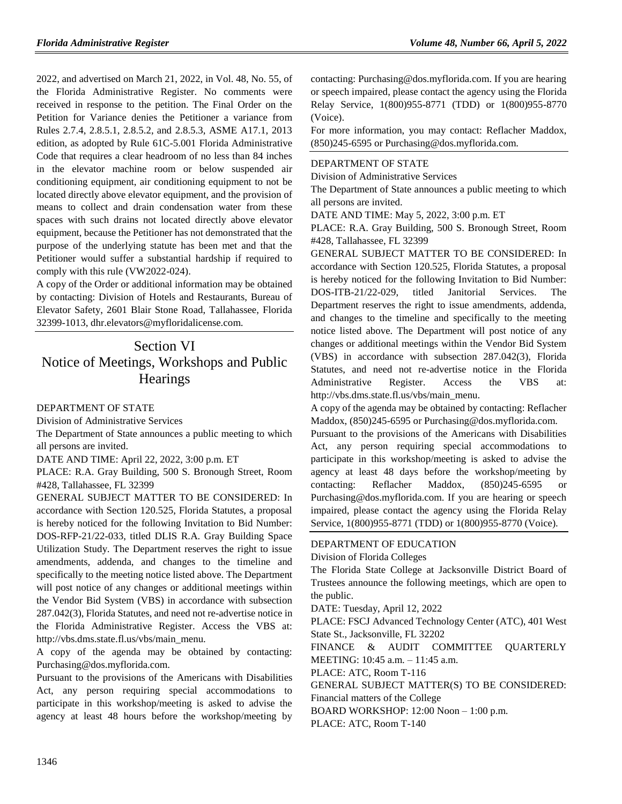2022, and advertised on March 21, 2022, in Vol. 48, No. 55, of the Florida Administrative Register. No comments were received in response to the petition. The Final Order on the Petition for Variance denies the Petitioner a variance from Rules 2.7.4, 2.8.5.1, 2.8.5.2, and 2.8.5.3, ASME A17.1, 2013 edition, as adopted by Rule 61C-5.001 Florida Administrative Code that requires a clear headroom of no less than 84 inches in the elevator machine room or below suspended air conditioning equipment, air conditioning equipment to not be located directly above elevator equipment, and the provision of means to collect and drain condensation water from these spaces with such drains not located directly above elevator equipment, because the Petitioner has not demonstrated that the purpose of the underlying statute has been met and that the Petitioner would suffer a substantial hardship if required to comply with this rule (VW2022-024).

A copy of the Order or additional information may be obtained by contacting: Division of Hotels and Restaurants, Bureau of Elevator Safety, 2601 Blair Stone Road, Tallahassee, Florida 32399-1013, dhr.elevators@myfloridalicense.com.

# Section VI Notice of Meetings, Workshops and Public **Hearings**

### [DEPARTMENT OF STATE](https://www.flrules.org/gateway/department.asp?id=1)

[Division of Administrative Services](https://www.flrules.org/gateway/organization.asp?id=1420)

The Department of State announces a public meeting to which all persons are invited.

DATE AND TIME: April 22, 2022, 3:00 p.m. ET

PLACE: R.A. Gray Building, 500 S. Bronough Street, Room #428, Tallahassee, FL 32399

GENERAL SUBJECT MATTER TO BE CONSIDERED: In accordance with Section 120.525, Florida Statutes, a proposal is hereby noticed for the following Invitation to Bid Number: DOS-RFP-21/22-033, titled DLIS R.A. Gray Building Space Utilization Study. The Department reserves the right to issue amendments, addenda, and changes to the timeline and specifically to the meeting notice listed above. The Department will post notice of any changes or additional meetings within the Vendor Bid System (VBS) in accordance with subsection 287.042(3), Florida Statutes, and need not re-advertise notice in the Florida Administrative Register. Access the VBS at: http://vbs.dms.state.fl.us/vbs/main\_menu.

A copy of the agenda may be obtained by contacting: Purchasing@dos.myflorida.com.

Pursuant to the provisions of the Americans with Disabilities Act, any person requiring special accommodations to participate in this workshop/meeting is asked to advise the agency at least 48 hours before the workshop/meeting by

contacting: Purchasing@dos.myflorida.com. If you are hearing or speech impaired, please contact the agency using the Florida Relay Service, 1(800)955-8771 (TDD) or 1(800)955-8770 (Voice).

For more information, you may contact: Reflacher Maddox, (850)245-6595 or Purchasing@dos.myflorida.com.

## [DEPARTMENT OF STATE](https://www.flrules.org/gateway/department.asp?id=1)

[Division of Administrative Services](https://www.flrules.org/gateway/organization.asp?id=1420)

The Department of State announces a public meeting to which all persons are invited.

DATE AND TIME: May 5, 2022, 3:00 p.m. ET

PLACE: R.A. Gray Building, 500 S. Bronough Street, Room #428, Tallahassee, FL 32399

GENERAL SUBJECT MATTER TO BE CONSIDERED: In accordance with Section 120.525, Florida Statutes, a proposal is hereby noticed for the following Invitation to Bid Number: DOS-ITB-21/22-029, titled Janitorial Services. Department reserves the right to issue amendments, addenda, and changes to the timeline and specifically to the meeting notice listed above. The Department will post notice of any changes or additional meetings within the Vendor Bid System (VBS) in accordance with subsection 287.042(3), Florida Statutes, and need not re-advertise notice in the Florida Administrative Register. Access the VBS at: http://vbs.dms.state.fl.us/vbs/main\_menu.

A copy of the agenda may be obtained by contacting: Reflacher Maddox, (850)245-6595 or Purchasing@dos.myflorida.com.

Pursuant to the provisions of the Americans with Disabilities Act, any person requiring special accommodations to participate in this workshop/meeting is asked to advise the agency at least 48 days before the workshop/meeting by contacting: Reflacher Maddox, (850)245-6595 or Purchasing@dos.myflorida.com. If you are hearing or speech impaired, please contact the agency using the Florida Relay Service, 1(800)955-8771 (TDD) or 1(800)955-8770 (Voice).

#### [DEPARTMENT OF EDUCATION](https://www.flrules.org/gateway/department.asp?id=6)

[Division of Florida Colleges](https://www.flrules.org/gateway/organization.asp?id=212)

The Florida State College at Jacksonville District Board of Trustees announce the following meetings, which are open to the public.

DATE: Tuesday, April 12, 2022

PLACE: FSCJ Advanced Technology Center (ATC), 401 West State St., Jacksonville, FL 32202

FINANCE & AUDIT COMMITTEE QUARTERLY MEETING: 10:45 a.m. – 11:45 a.m.

PLACE: ATC, Room T-116

GENERAL SUBJECT MATTER(S) TO BE CONSIDERED: Financial matters of the College

BOARD WORKSHOP: 12:00 Noon – 1:00 p.m.

PLACE: ATC, Room T-140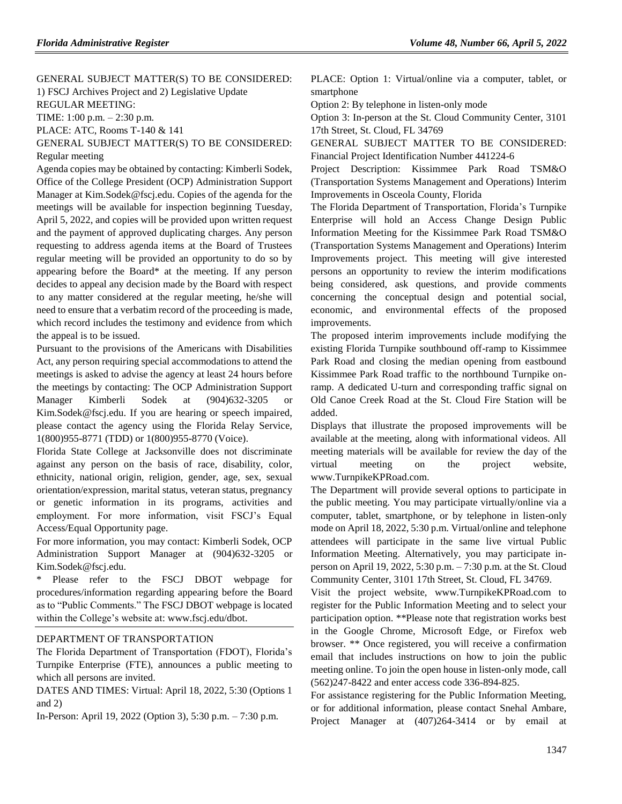GENERAL SUBJECT MATTER(S) TO BE CONSIDERED: 1) FSCJ Archives Project and 2) Legislative Update REGULAR MEETING:

TIME: 1:00 p.m. – 2:30 p.m.

PLACE: ATC, Rooms T-140 & 141

GENERAL SUBJECT MATTER(S) TO BE CONSIDERED: Regular meeting

Agenda copies may be obtained by contacting: Kimberli Sodek, Office of the College President (OCP) Administration Support Manager at [Kim.Sodek@fscj.edu.](mailto:Kim.Sodek@fscj.edu) Copies of the agenda for the meetings will be available for inspection beginning Tuesday, April 5, 2022, and copies will be provided upon written request and the payment of approved duplicating charges. Any person requesting to address agenda items at the Board of Trustees regular meeting will be provided an opportunity to do so by appearing before the Board\* at the meeting. If any person decides to appeal any decision made by the Board with respect to any matter considered at the regular meeting, he/she will need to ensure that a verbatim record of the proceeding is made, which record includes the testimony and evidence from which the appeal is to be issued.

Pursuant to the provisions of the Americans with Disabilities Act, any person requiring special accommodations to attend the meetings is asked to advise the agency at least 24 hours before the meetings by contacting: The OCP Administration Support Manager Kimberli Sodek at (904)632-3205 or [Kim.Sodek@fscj.edu.](mailto:Kim.Sodek@fscj.edu) If you are hearing or speech impaired, please contact the agency using the Florida Relay Service, 1(800)955-8771 (TDD) or 1(800)955-8770 (Voice).

Florida State College at Jacksonville does not discriminate against any person on the basis of race, disability, color, ethnicity, national origin, religion, gender, age, sex, sexual orientation/expression, marital status, veteran status, pregnancy or genetic information in its programs, activities and employment. For more information, visit FSCJ's Equal Access/Equal Opportunity page.

For more information, you may contact: Kimberli Sodek, OCP Administration Support Manager at (904)632-3205 or [Kim.Sodek@fscj.edu.](mailto:Kim.Sodek@fscj.edu)

Please refer to the FSCJ DBOT webpage for procedures/information regarding appearing before the Board as to "Public Comments." The FSCJ DBOT webpage is located within the College's website at: [www.fscj.edu/dbot.](http://www.fscj.edu/dbot)

### [DEPARTMENT OF TRANSPORTATION](https://www.flrules.org/gateway/department.asp?id=14)

The Florida Department of Transportation (FDOT), Florida's Turnpike Enterprise (FTE), announces a public meeting to which all persons are invited.

DATES AND TIMES: Virtual: April 18, 2022, 5:30 (Options 1 and 2)

In-Person: April 19, 2022 (Option 3), 5:30 p.m. – 7:30 p.m.

PLACE: Option 1: Virtual/online via a computer, tablet, or smartphone

Option 2: By telephone in listen-only mode

Option 3: In-person at the St. Cloud Community Center, 3101 17th Street, St. Cloud, FL 34769

GENERAL SUBJECT MATTER TO BE CONSIDERED: Financial Project Identification Number 441224-6

Project Description: Kissimmee Park Road TSM&O (Transportation Systems Management and Operations) Interim Improvements in Osceola County, Florida

The Florida Department of Transportation, Florida's Turnpike Enterprise will hold an Access Change Design Public Information Meeting for the Kissimmee Park Road TSM&O (Transportation Systems Management and Operations) Interim Improvements project. This meeting will give interested persons an opportunity to review the interim modifications being considered, ask questions, and provide comments concerning the conceptual design and potential social, economic, and environmental effects of the proposed improvements.

The proposed interim improvements include modifying the existing Florida Turnpike southbound off-ramp to Kissimmee Park Road and closing the median opening from eastbound Kissimmee Park Road traffic to the northbound Turnpike onramp. A dedicated U-turn and corresponding traffic signal on Old Canoe Creek Road at the St. Cloud Fire Station will be added.

Displays that illustrate the proposed improvements will be available at the meeting, along with informational videos. All meeting materials will be available for review the day of the virtual meeting on the project website, www.TurnpikeKPRoad.com.

The Department will provide several options to participate in the public meeting. You may participate virtually/online via a computer, tablet, smartphone, or by telephone in listen-only mode on April 18, 2022, 5:30 p.m. Virtual/online and telephone attendees will participate in the same live virtual Public Information Meeting. Alternatively, you may participate inperson on April 19, 2022, 5:30 p.m. – 7:30 p.m. at the St. Cloud Community Center, 3101 17th Street, St. Cloud, FL 34769.

Visit the project website, www.TurnpikeKPRoad.com to register for the Public Information Meeting and to select your participation option. \*\*Please note that registration works best in the Google Chrome, Microsoft Edge, or Firefox web browser. \*\* Once registered, you will receive a confirmation email that includes instructions on how to join the public meeting online. To join the open house in listen-only mode, call (562)247-8422 and enter access code 336-894-825.

For assistance registering for the Public Information Meeting, or for additional information, please contact Snehal Ambare, Project Manager at (407)264-3414 or by email at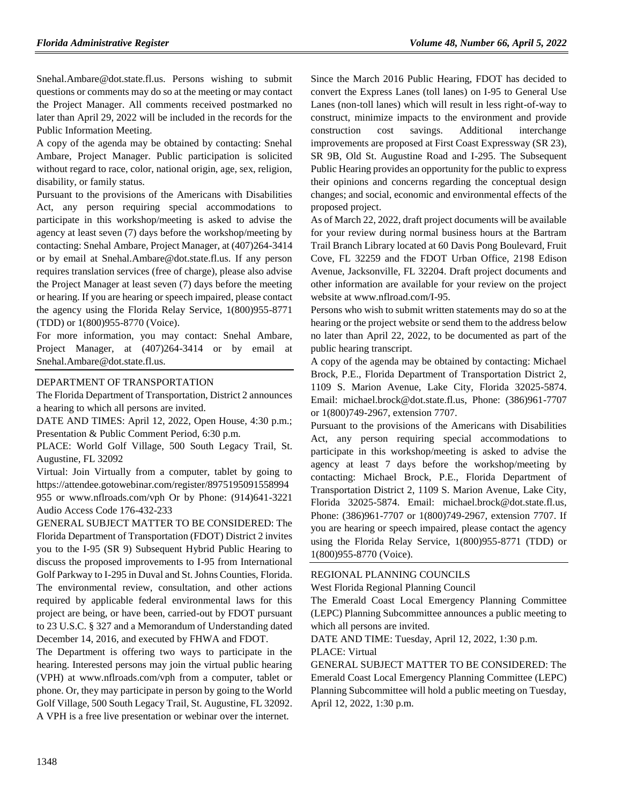Snehal.Ambare@dot.state.fl.us. Persons wishing to submit questions or comments may do so at the meeting or may contact the Project Manager. All comments received postmarked no later than April 29, 2022 will be included in the records for the Public Information Meeting.

A copy of the agenda may be obtained by contacting: Snehal Ambare, Project Manager. Public participation is solicited without regard to race, color, national origin, age, sex, religion, disability, or family status.

Pursuant to the provisions of the Americans with Disabilities Act, any person requiring special accommodations to participate in this workshop/meeting is asked to advise the agency at least seven (7) days before the workshop/meeting by contacting: Snehal Ambare, Project Manager, at (407)264-3414 or by email at Snehal.Ambare@dot.state.fl.us. If any person requires translation services (free of charge), please also advise the Project Manager at least seven (7) days before the meeting or hearing. If you are hearing or speech impaired, please contact the agency using the Florida Relay Service, 1(800)955-8771 (TDD) or 1(800)955-8770 (Voice).

For more information, you may contact: Snehal Ambare, Project Manager, at (407)264-3414 or by email at Snehal.Ambare@dot.state.fl.us.

## DEPARTMENT [OF TRANSPORTATION](https://www.flrules.org/gateway/department.asp?id=14)

The Florida Department of Transportation, District 2 announces a hearing to which all persons are invited.

DATE AND TIMES: April 12, 2022, Open House, 4:30 p.m.; Presentation & Public Comment Period, 6:30 p.m.

PLACE: World Golf Village, 500 South Legacy Trail, St. Augustine, FL 32092

Virtual: Join Virtually from a computer, tablet by going to https://attendee.gotowebinar.com/register/8975195091558994 955 or www.nflroads.com/vph Or by Phone: (914)641-3221 Audio Access Code 176-432-233

GENERAL SUBJECT MATTER TO BE CONSIDERED: The Florida Department of Transportation (FDOT) District 2 invites you to the I-95 (SR 9) Subsequent Hybrid Public Hearing to discuss the proposed improvements to I-95 from International Golf Parkway to I-295 in Duval and St. Johns Counties, Florida. The environmental review, consultation, and other actions required by applicable federal environmental laws for this project are being, or have been, carried-out by FDOT pursuant to 23 U.S.C. § 327 and a Memorandum of Understanding dated December 14, 2016, and executed by FHWA and FDOT.

The Department is offering two ways to participate in the hearing. Interested persons may join the virtual public hearing (VPH) at www.nflroads.com/vph from a computer, tablet or phone. Or, they may participate in person by going to the World Golf Village, 500 South Legacy Trail, St. Augustine, FL 32092. A VPH is a free live presentation or webinar over the internet.

Since the March 2016 Public Hearing, FDOT has decided to convert the Express Lanes (toll lanes) on I-95 to General Use Lanes (non-toll lanes) which will result in less right-of-way to construct, minimize impacts to the environment and provide construction cost savings. Additional interchange improvements are proposed at First Coast Expressway (SR 23), SR 9B, Old St. Augustine Road and I-295. The Subsequent Public Hearing provides an opportunity for the public to express their opinions and concerns regarding the conceptual design changes; and social, economic and environmental effects of the proposed project.

As of March 22, 2022, draft project documents will be available for your review during normal business hours at the Bartram Trail Branch Library located at 60 Davis Pong Boulevard, Fruit Cove, FL 32259 and the FDOT Urban Office, 2198 Edison Avenue, Jacksonville, FL 32204. Draft project documents and other information are available for your review on the project website at www.nflroad.com/I-95.

Persons who wish to submit written statements may do so at the hearing or the project website or send them to the address below no later than April 22, 2022, to be documented as part of the public hearing transcript.

A copy of the agenda may be obtained by contacting: Michael Brock, P.E., Florida Department of Transportation District 2, 1109 S. Marion Avenue, Lake City, Florida 32025-5874. Email: michael.brock@dot.state.fl.us, Phone: (386)961-7707 or 1(800)749-2967, extension 7707.

Pursuant to the provisions of the Americans with Disabilities Act, any person requiring special accommodations to participate in this workshop/meeting is asked to advise the agency at least 7 days before the workshop/meeting by contacting: Michael Brock, P.E., Florida Department of Transportation District 2, 1109 S. Marion Avenue, Lake City, Florida 32025-5874. Email: michael.brock@dot.state.fl.us, Phone: (386)961-7707 or 1(800)749-2967, extension 7707. If you are hearing or speech impaired, please contact the agency using the Florida Relay Service, 1(800)955-8771 (TDD) or 1(800)955-8770 (Voice).

## [REGIONAL PLANNING COUNCILS](https://www.flrules.org/gateway/department.asp?id=29)

[West Florida Regional Planning Council](https://www.flrules.org/gateway/organization.asp?id=57)

The Emerald Coast Local Emergency Planning Committee (LEPC) Planning Subcommittee announces a public meeting to which all persons are invited.

DATE AND TIME: Tuesday, April 12, 2022, 1:30 p.m. PLACE: Virtual

GENERAL SUBJECT MATTER TO BE CONSIDERED: The Emerald Coast Local Emergency Planning Committee (LEPC) Planning Subcommittee will hold a public meeting on Tuesday, April 12, 2022, 1:30 p.m.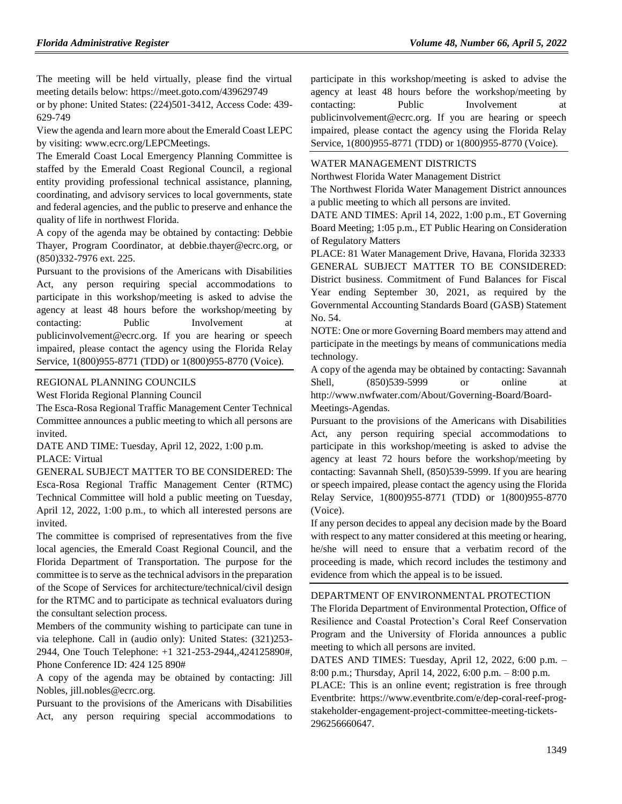The meeting will be held virtually, please find the virtual meeting details below: https://meet.goto.com/439629749

or by phone: United States: (224)501-3412, Access Code: 439- 629-749

View the agenda and learn more about the Emerald Coast LEPC by visiting: www.ecrc.org/LEPCMeetings.

The Emerald Coast Local Emergency Planning Committee is staffed by the Emerald Coast Regional Council, a regional entity providing professional technical assistance, planning, coordinating, and advisory services to local governments, state and federal agencies, and the public to preserve and enhance the quality of life in northwest Florida.

A copy of the agenda may be obtained by contacting: Debbie Thayer, Program Coordinator, at debbie.thayer@ecrc.org, or (850)332-7976 ext. 225.

Pursuant to the provisions of the Americans with Disabilities Act, any person requiring special accommodations to participate in this workshop/meeting is asked to advise the agency at least 48 hours before the workshop/meeting by contacting: Public Involvement at publicinvolvement@ecrc.org. If you are hearing or speech impaired, please contact the agency using the Florida Relay Service, 1(800)955-8771 (TDD) or 1(800)955-8770 (Voice).

#### [REGIONAL PLANNING COUNCILS](https://www.flrules.org/gateway/department.asp?id=29)

[West Florida Regional Planning Council](https://www.flrules.org/gateway/organization.asp?id=57)

The Esca-Rosa Regional Traffic Management Center Technical Committee announces a public meeting to which all persons are invited.

DATE AND TIME: Tuesday, April 12, 2022, 1:00 p.m. PLACE: Virtual

GENERAL SUBJECT MATTER TO BE CONSIDERED: The Esca-Rosa Regional Traffic Management Center (RTMC) Technical Committee will hold a public meeting on Tuesday, April 12, 2022, 1:00 p.m., to which all interested persons are invited.

The committee is comprised of representatives from the five local agencies, the Emerald Coast Regional Council, and the Florida Department of Transportation. The purpose for the committee is to serve as the technical advisors in the preparation of the Scope of Services for architecture/technical/civil design for the RTMC and to participate as technical evaluators during the consultant selection process.

Members of the community wishing to participate can tune in via telephone. Call in (audio only): United States: (321)253- 2944, One Touch Telephone: +1 321-253-2944,,424125890#, Phone Conference ID: 424 125 890#

A copy of the agenda may be obtained by contacting: Jill Nobles, jill.nobles@ecrc.org.

Pursuant to the provisions of the Americans with Disabilities Act, any person requiring special accommodations to

participate in this workshop/meeting is asked to advise the agency at least 48 hours before the workshop/meeting by contacting: Public Involvement at publicinvolvement@ecrc.org. If you are hearing or speech impaired, please contact the agency using the Florida Relay Service, 1(800)955-8771 (TDD) or 1(800)955-8770 (Voice).

### [WATER MANAGEMENT DISTRICTS](https://www.flrules.org/gateway/department.asp?id=40)

[Northwest Florida Water Management District](https://www.flrules.org/gateway/organization.asp?id=120)

The Northwest Florida Water Management District announces a public meeting to which all persons are invited.

DATE AND TIMES: April 14, 2022, 1:00 p.m., ET Governing Board Meeting; 1:05 p.m., ET Public Hearing on Consideration of Regulatory Matters

PLACE: 81 Water Management Drive, Havana, Florida 32333 GENERAL SUBJECT MATTER TO BE CONSIDERED: District business. Commitment of Fund Balances for Fiscal Year ending September 30, 2021, as required by the Governmental Accounting Standards Board (GASB) Statement No. 54.

NOTE: One or more Governing Board members may attend and participate in the meetings by means of communications media technology.

A copy of the agenda may be obtained by contacting: Savannah Shell, (850)539-5999 or online at

http://www.nwfwater.com/About/Governing-Board/Board-

Meetings-Agendas.

Pursuant to the provisions of the Americans with Disabilities Act, any person requiring special accommodations to participate in this workshop/meeting is asked to advise the agency at least 72 hours before the workshop/meeting by contacting: Savannah Shell, (850)539-5999. If you are hearing or speech impaired, please contact the agency using the Florida Relay Service, 1(800)955-8771 (TDD) or 1(800)955-8770 (Voice).

If any person decides to appeal any decision made by the Board with respect to any matter considered at this meeting or hearing, he/she will need to ensure that a verbatim record of the proceeding is made, which record includes the testimony and evidence from which the appeal is to be issued.

#### [DEPARTMENT OF ENVIRONMENTAL PROTECTION](https://www.flrules.org/gateway/department.asp?id=62)

The Florida Department of Environmental Protection, Office of Resilience and Coastal Protection's Coral Reef Conservation Program and the University of Florida announces a public meeting to which all persons are invited.

DATES AND TIMES: Tuesday, April 12, 2022, 6:00 p.m. – 8:00 p.m.; Thursday, April 14, 2022, 6:00 p.m. – 8:00 p.m.

PLACE: This is an online event; registration is free through Eventbrite: https://www.eventbrite.com/e/dep-coral-reef-progstakeholder-engagement-project-committee-meeting-tickets-296256660647.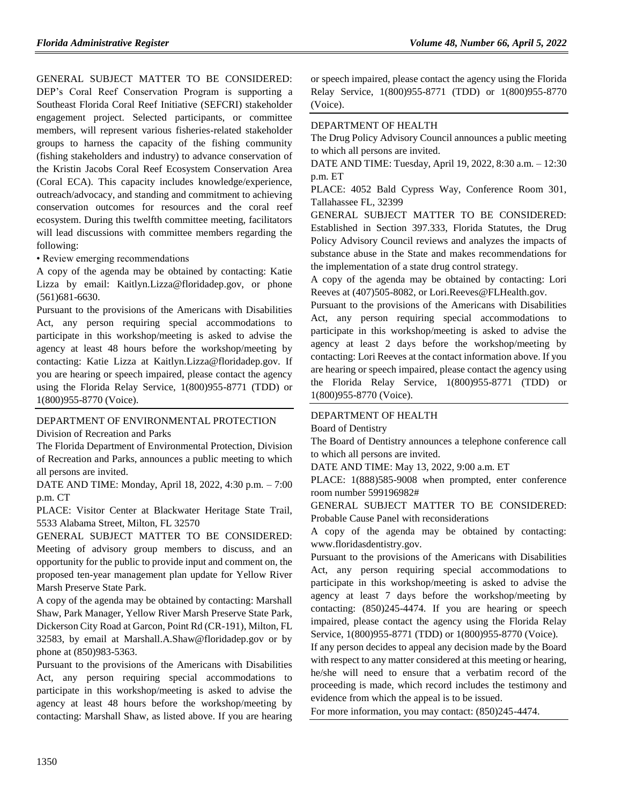GENERAL SUBJECT MATTER TO BE CONSIDERED:

DEP's Coral Reef Conservation Program is supporting a Southeast Florida Coral Reef Initiative (SEFCRI) stakeholder engagement project. Selected participants, or committee members, will represent various fisheries-related stakeholder groups to harness the capacity of the fishing community (fishing stakeholders and industry) to advance conservation of the Kristin Jacobs Coral Reef Ecosystem Conservation Area (Coral ECA). This capacity includes knowledge/experience, outreach/advocacy, and standing and commitment to achieving conservation outcomes for resources and the coral reef ecosystem. During this twelfth committee meeting, facilitators will lead discussions with committee members regarding the following:

• Review emerging recommendations

A copy of the agenda may be obtained by contacting: Katie Lizza by email: Kaitlyn.Lizza@floridadep.gov, or phone (561)681-6630.

Pursuant to the provisions of the Americans with Disabilities Act, any person requiring special accommodations to participate in this workshop/meeting is asked to advise the agency at least 48 hours before the workshop/meeting by contacting: Katie Lizza at Kaitlyn.Lizza@floridadep.gov. If you are hearing or speech impaired, please contact the agency using the Florida Relay Service, 1(800)955-8771 (TDD) or 1(800)955-8770 (Voice).

[DEPARTMENT OF ENVIRONMENTAL PROTECTION](https://www.flrules.org/gateway/department.asp?id=62)

[Division of Recreation and Parks](https://www.flrules.org/gateway/organization.asp?id=290)

The Florida Department of Environmental Protection, Division of Recreation and Parks, announces a public meeting to which all persons are invited.

DATE AND TIME: Monday, April 18, 2022, 4:30 p.m. – 7:00 p.m. CT

PLACE: Visitor Center at Blackwater Heritage State Trail, 5533 Alabama Street, Milton, FL 32570

GENERAL SUBJECT MATTER TO BE CONSIDERED: Meeting of advisory group members to discuss, and an opportunity for the public to provide input and comment on, the proposed ten-year management plan update for Yellow River Marsh Preserve State Park.

A copy of the agenda may be obtained by contacting: Marshall Shaw, Park Manager, Yellow River Marsh Preserve State Park, Dickerson City Road at Garcon, Point Rd (CR-191), Milton, FL 32583, by email at Marshall.A.Shaw@floridadep.gov or by phone at (850)983-5363.

Pursuant to the provisions of the Americans with Disabilities Act, any person requiring special accommodations to participate in this workshop/meeting is asked to advise the agency at least 48 hours before the workshop/meeting by contacting: Marshall Shaw, as listed above. If you are hearing

or speech impaired, please contact the agency using the Florida Relay Service, 1(800)955-8771 (TDD) or 1(800)955-8770 (Voice).

## [DEPARTMENT OF HEALTH](https://www.flrules.org/gateway/department.asp?id=64)

The Drug Policy Advisory Council announces a public meeting to which all persons are invited.

DATE AND TIME: Tuesday, April 19, 2022, 8:30 a.m. – 12:30 p.m. ET

PLACE: 4052 Bald Cypress Way, Conference Room 301, Tallahassee FL, 32399

GENERAL SUBJECT MATTER TO BE CONSIDERED: Established in Section 397.333, Florida Statutes, the Drug Policy Advisory Council reviews and analyzes the impacts of substance abuse in the State and makes recommendations for the implementation of a state drug control strategy.

A copy of the agenda may be obtained by contacting: Lori Reeves at (407)505-8082, or Lori.Reeves@FLHealth.gov.

Pursuant to the provisions of the Americans with Disabilities Act, any person requiring special accommodations to participate in this workshop/meeting is asked to advise the agency at least 2 days before the workshop/meeting by contacting: Lori Reeves at the contact information above. If you are hearing or speech impaired, please contact the agency using the Florida Relay Service, 1(800)955-8771 (TDD) or 1(800)955-8770 (Voice).

#### [DEPARTMENT OF HEALTH](https://www.flrules.org/gateway/department.asp?id=64)

Board [of Dentistry](https://www.flrules.org/gateway/organization.asp?id=328)

The Board of Dentistry announces a telephone conference call to which all persons are invited.

DATE AND TIME: May 13, 2022, 9:00 a.m. ET

PLACE: 1(888)585-9008 when prompted, enter conference room number 599196982#

GENERAL SUBJECT MATTER TO BE CONSIDERED: Probable Cause Panel with reconsiderations

A copy of the agenda may be obtained by contacting: www.floridasdentistry.gov.

Pursuant to the provisions of the Americans with Disabilities Act, any person requiring special accommodations to participate in this workshop/meeting is asked to advise the agency at least 7 days before the workshop/meeting by contacting: (850)245-4474. If you are hearing or speech impaired, please contact the agency using the Florida Relay Service, 1(800)955-8771 (TDD) or 1(800)955-8770 (Voice).

If any person decides to appeal any decision made by the Board with respect to any matter considered at this meeting or hearing, he/she will need to ensure that a verbatim record of the proceeding is made, which record includes the testimony and evidence from which the appeal is to be issued.

For more information, you may contact: (850)245-4474.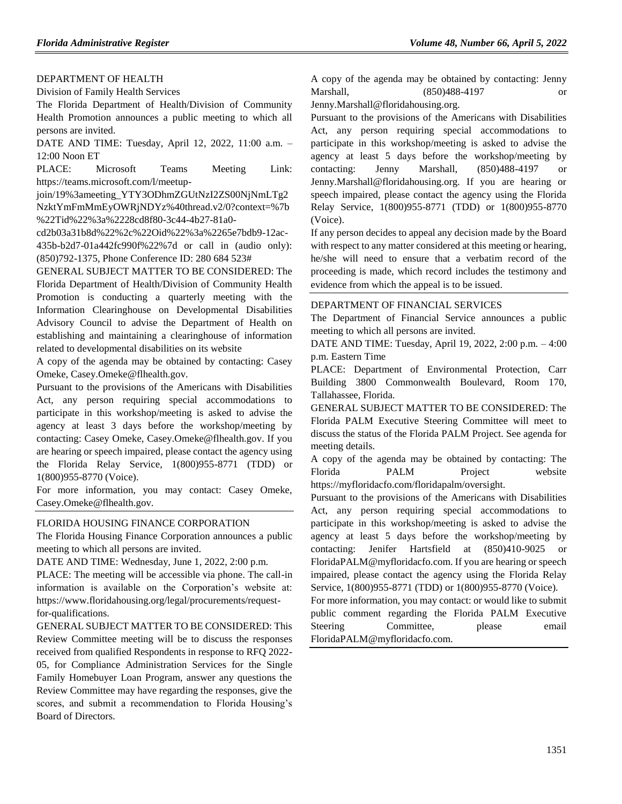### [DEPARTMENT OF HEALTH](https://www.flrules.org/gateway/department.asp?id=64)

[Division of Family Health Services](https://www.flrules.org/gateway/organization.asp?id=336)

The Florida Department of Health/Division of Community Health Promotion announces a public meeting to which all persons are invited.

DATE AND TIME: Tuesday, April 12, 2022, 11:00 a.m. – 12:00 Noon ET

PLACE: Microsoft Teams Meeting Link: https://teams.microsoft.com/l/meetup-

join/19%3ameeting\_YTY3ODhmZGUtNzI2ZS00NjNmLTg2 NzktYmFmMmEyOWRjNDYz%40thread.v2/0?context=%7b %22Tid%22%3a%2228cd8f80-3c44-4b27-81a0-

cd2b03a31b8d%22%2c%22Oid%22%3a%2265e7bdb9-12ac-435b-b2d7-01a442fc990f%22%7d or call in (audio only): (850)792-1375, Phone Conference ID: 280 684 523#

GENERAL SUBJECT MATTER TO BE CONSIDERED: The Florida Department of Health/Division of Community Health Promotion is conducting a quarterly meeting with the Information Clearinghouse on Developmental Disabilities Advisory Council to advise the Department of Health on establishing and maintaining a clearinghouse of information related to developmental disabilities on its website

A copy of the agenda may be obtained by contacting: Casey Omeke, Casey.Omeke@flhealth.gov.

Pursuant to the provisions of the Americans with Disabilities Act, any person requiring special accommodations to participate in this workshop/meeting is asked to advise the agency at least 3 days before the workshop/meeting by contacting: Casey Omeke, Casey.Omeke@flhealth.gov. If you are hearing or speech impaired, please contact the agency using the Florida Relay Service, 1(800)955-8771 (TDD) or 1(800)955-8770 (Voice).

For more information, you may contact: Casey Omeke, Casey.Omeke@flhealth.gov.

#### [FLORIDA HOUSING FINANCE CORPORATION](https://www.flrules.org/gateway/department.asp?id=67)

The Florida Housing Finance Corporation announces a public meeting to which all persons are invited.

DATE AND TIME: Wednesday, June 1, 2022, 2:00 p.m.

PLACE: The meeting will be accessible via phone. The call-in information is available on the Corporation's website at: https://www.floridahousing.org/legal/procurements/requestfor-qualifications.

GENERAL SUBJECT MATTER TO BE CONSIDERED: This Review Committee meeting will be to discuss the responses received from qualified Respondents in response to RFQ 2022- 05, for Compliance Administration Services for the Single Family Homebuyer Loan Program, answer any questions the Review Committee may have regarding the responses, give the scores, and submit a recommendation to Florida Housing's Board of Directors.

A copy of the agenda may be obtained by contacting: Jenny Marshall, (850)488-4197 or

Jenny.Marshall@floridahousing.org.

Pursuant to the provisions of the Americans with Disabilities Act, any person requiring special accommodations to participate in this workshop/meeting is asked to advise the agency at least 5 days before the workshop/meeting by contacting: Jenny Marshall,  $(850)488-4197$ Jenny.Marshall@floridahousing.org. If you are hearing or speech impaired, please contact the agency using the Florida Relay Service, 1(800)955-8771 (TDD) or 1(800)955-8770 (Voice).

If any person decides to appeal any decision made by the Board with respect to any matter considered at this meeting or hearing, he/she will need to ensure that a verbatim record of the proceeding is made, which record includes the testimony and evidence from which the appeal is to be issued.

#### [DEPARTMENT OF FINANCIAL SERVICES](https://www.flrules.org/gateway/department.asp?id=69)

The Department of Financial Service announces a public meeting to which all persons are invited.

DATE AND TIME: Tuesday, April 19, 2022, 2:00 p.m. – 4:00 p.m. Eastern Time

PLACE: Department of Environmental Protection, Carr Building 3800 Commonwealth Boulevard, Room 170, Tallahassee, Florida.

GENERAL SUBJECT MATTER TO BE CONSIDERED: The Florida PALM Executive Steering Committee will meet to discuss the status of the Florida PALM Project. See agenda for meeting details.

A copy of the agenda may be obtained by contacting: The Florida PALM Project website https://myfloridacfo.com/floridapalm/oversight.

Pursuant to the provisions of the Americans with Disabilities Act, any person requiring special accommodations to participate in this workshop/meeting is asked to advise the agency at least 5 days before the workshop/meeting by contacting: Jenifer Hartsfield at (850)410-9025 or FloridaPALM@myfloridacfo.com. If you are hearing or speech impaired, please contact the agency using the Florida Relay Service, 1(800)955-8771 (TDD) or 1(800)955-8770 (Voice).

For more information, you may contact: or would like to submit public comment regarding the Florida PALM Executive Steering Committee, please email FloridaPALM@myfloridacfo.com.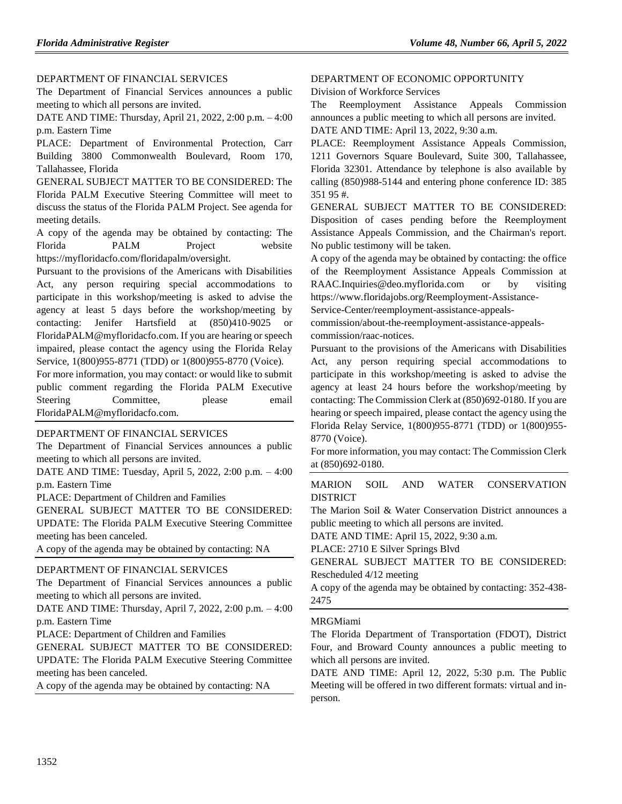### [DEPARTMENT OF FINANCIAL SERVICES](https://www.flrules.org/gateway/department.asp?id=69)

The Department of Financial Services announces a public meeting to which all persons are invited.

DATE AND TIME: Thursday, April 21, 2022, 2:00 p.m. – 4:00 p.m. Eastern Time

PLACE: Department of Environmental Protection, Carr Building 3800 Commonwealth Boulevard, Room 170, Tallahassee, Florida

GENERAL SUBJECT MATTER TO BE CONSIDERED: The Florida PALM Executive Steering Committee will meet to discuss the status of the Florida PALM Project. See agenda for meeting details.

A copy of the agenda may be obtained by contacting: The Florida PALM Project website https://myfloridacfo.com/floridapalm/oversight.

Pursuant to the provisions of the Americans with Disabilities Act, any person requiring special accommodations to participate in this workshop/meeting is asked to advise the agency at least 5 days before the workshop/meeting by contacting: Jenifer Hartsfield at (850)410-9025 or FloridaPALM@myfloridacfo.com. If you are hearing or speech impaired, please contact the agency using the Florida Relay Service, 1(800)955-8771 (TDD) or 1(800)955-8770 (Voice).

For more information, you may contact: or would like to submit public comment regarding the Florida PALM Executive Steering Committee, please email FloridaPALM@myfloridacfo.com.

#### [DEPARTMENT OF FINANCIAL SERVICES](https://www.flrules.org/gateway/department.asp?id=69)

The Department of Financial Services announces a public meeting to which all persons are invited.

DATE AND TIME: Tuesday, April 5, 2022, 2:00 p.m. – 4:00 p.m. Eastern Time

PLACE: Department of Children and Families

GENERAL SUBJECT MATTER TO BE CONSIDERED: UPDATE: The Florida PALM Executive Steering Committee meeting has been canceled.

A copy of the agenda may be obtained by contacting: NA

### [DEPARTMENT OF FINANCIAL SERVICES](https://www.flrules.org/gateway/department.asp?id=69)

The Department of Financial Services announces a public meeting to which all persons are invited.

DATE AND TIME: Thursday, April 7, 2022, 2:00 p.m. – 4:00 p.m. Eastern Time

PLACE: Department of Children and Families

GENERAL SUBJECT MATTER TO BE CONSIDERED: UPDATE: The Florida PALM Executive Steering Committee meeting has been canceled.

A copy of the agenda may be obtained by contacting: NA

#### [DEPARTMENT OF ECONOMIC OPPORTUNITY](https://www.flrules.org/gateway/department.asp?id=73)

[Division of Workforce Services](https://www.flrules.org/gateway/organization.asp?id=1065)

The Reemployment Assistance Appeals Commission announces a public meeting to which all persons are invited. DATE AND TIME: April 13, 2022, 9:30 a.m.

PLACE: Reemployment Assistance Appeals Commission, 1211 Governors Square Boulevard, Suite 300, Tallahassee, Florida 32301. Attendance by telephone is also available by calling (850)988-5144 and entering phone conference ID: 385 351 95 #.

GENERAL SUBJECT MATTER TO BE CONSIDERED: Disposition of cases pending before the Reemployment Assistance Appeals Commission, and the Chairman's report. No public testimony will be taken.

A copy of the agenda may be obtained by contacting: the office of the Reemployment Assistance Appeals Commission at RAAC.Inquiries@deo.myflorida.com or by visiting https://www.floridajobs.org/Reemployment-Assistance-

Service-Center/reemployment-assistance-appeals-

commission/about-the-reemployment-assistance-appealscommission/raac-notices.

Pursuant to the provisions of the Americans with Disabilities Act, any person requiring special accommodations to participate in this workshop/meeting is asked to advise the agency at least 24 hours before the workshop/meeting by contacting: The Commission Clerk at (850)692-0180. If you are hearing or speech impaired, please contact the agency using the Florida Relay Service, 1(800)955-8771 (TDD) or 1(800)955- 8770 (Voice).

For more information, you may contact: The Commission Clerk at (850)692-0180.

### [MARION SOIL AND WATER CONSERVATION](https://www.flrules.org/gateway/organization.asp?id=746)  [DISTRICT](https://www.flrules.org/gateway/organization.asp?id=746)

The Marion Soil & Water Conservation District announces a public meeting to which all persons are invited.

DATE AND TIME: April 15, 2022, 9:30 a.m.

PLACE: 2710 E Silver Springs Blvd

GENERAL SUBJECT MATTER TO BE CONSIDERED: Rescheduled 4/12 meeting

A copy of the agenda may be obtained by contacting: 352-438- 2475

#### [MRGMiami](https://www.flrules.org/gateway/organization.asp?id=981)

The Florida Department of Transportation (FDOT), District Four, and Broward County announces a public meeting to which all persons are invited.

DATE AND TIME: April 12, 2022, 5:30 p.m. The Public Meeting will be offered in two different formats: virtual and inperson.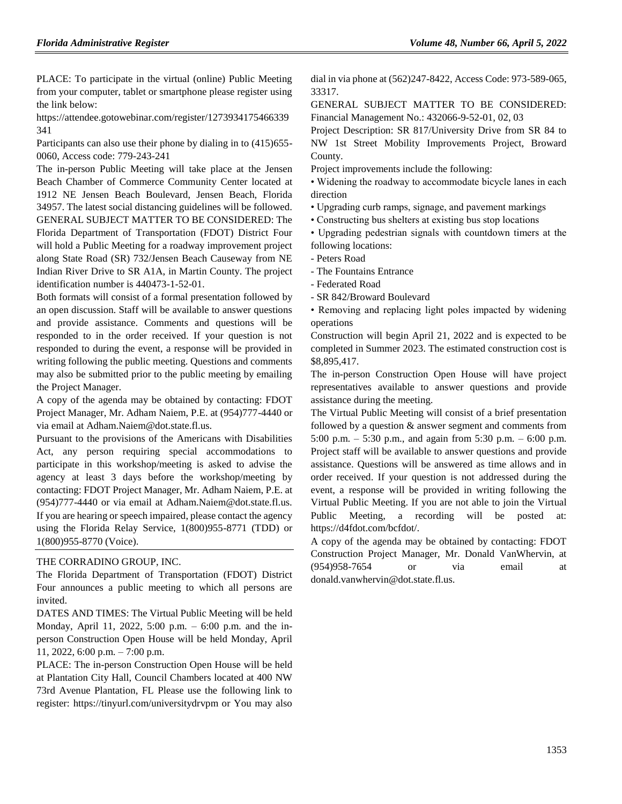PLACE: To participate in the virtual (online) Public Meeting from your computer, tablet or smartphone please register using the link below:

https://attendee.gotowebinar.com/register/1273934175466339 341

Participants can also use their phone by dialing in to  $(415)655$ -0060, Access code: 779-243-241

The in-person Public Meeting will take place at the Jensen Beach Chamber of Commerce Community Center located at 1912 NE Jensen Beach Boulevard, Jensen Beach, Florida 34957. The latest social distancing guidelines will be followed. GENERAL SUBJECT MATTER TO BE CONSIDERED: The Florida Department of Transportation (FDOT) District Four will hold a Public Meeting for a roadway improvement project along State Road (SR) 732/Jensen Beach Causeway from NE Indian River Drive to SR A1A, in Martin County. The project identification number is 440473-1-52-01.

Both formats will consist of a formal presentation followed by an open discussion. Staff will be available to answer questions and provide assistance. Comments and questions will be responded to in the order received. If your question is not responded to during the event, a response will be provided in writing following the public meeting. Questions and comments may also be submitted prior to the public meeting by emailing the Project Manager.

A copy of the agenda may be obtained by contacting: FDOT Project Manager, Mr. Adham Naiem, P.E. at (954)777-4440 or via email at Adham.Naiem@dot.state.fl.us.

Pursuant to the provisions of the Americans with Disabilities Act, any person requiring special accommodations to participate in this workshop/meeting is asked to advise the agency at least 3 days before the workshop/meeting by contacting: FDOT Project Manager, Mr. Adham Naiem, P.E. at (954)777-4440 or via email at Adham.Naiem@dot.state.fl.us. If you are hearing or speech impaired, please contact the agency using the Florida Relay Service, 1(800)955-8771 (TDD) or 1(800)955-8770 (Voice).

#### [THE CORRADINO GROUP, INC.](https://www.flrules.org/gateway/organization.asp?id=1048)

The Florida Department of Transportation (FDOT) District Four announces a public meeting to which all persons are invited.

DATES AND TIMES: The Virtual Public Meeting will be held Monday, April 11, 2022, 5:00 p.m. – 6:00 p.m. and the inperson Construction Open House will be held Monday, April 11, 2022, 6:00 p.m. – 7:00 p.m.

PLACE: The in-person Construction Open House will be held at Plantation City Hall, Council Chambers located at 400 NW 73rd Avenue Plantation, FL Please use the following link to register: https://tinyurl.com/universitydrvpm or You may also dial in via phone at (562)247-8422, Access Code: 973-589-065, 33317.

GENERAL SUBJECT MATTER TO BE CONSIDERED: Financial Management No.: 432066-9-52-01, 02, 03

Project Description: SR 817/University Drive from SR 84 to NW 1st Street Mobility Improvements Project, Broward County.

Project improvements include the following:

• Widening the roadway to accommodate bicycle lanes in each direction

• Upgrading curb ramps, signage, and pavement markings

• Constructing bus shelters at existing bus stop locations

• Upgrading pedestrian signals with countdown timers at the following locations:

- Peters Road

- The Fountains Entrance

- Federated Road

- SR 842/Broward Boulevard

• Removing and replacing light poles impacted by widening operations

Construction will begin April 21, 2022 and is expected to be completed in Summer 2023. The estimated construction cost is \$8,895,417.

The in-person Construction Open House will have project representatives available to answer questions and provide assistance during the meeting.

The Virtual Public Meeting will consist of a brief presentation followed by a question & answer segment and comments from 5:00 p.m. – 5:30 p.m., and again from 5:30 p.m. – 6:00 p.m. Project staff will be available to answer questions and provide assistance. Questions will be answered as time allows and in order received. If your question is not addressed during the event, a response will be provided in writing following the Virtual Public Meeting. If you are not able to join the Virtual Public Meeting, a recording will be posted at: https://d4fdot.com/bcfdot/.

A copy of the agenda may be obtained by contacting: FDOT Construction Project Manager, Mr. Donald VanWhervin, at (954)958-7654 or via email at donald.vanwhervin@dot.state.fl.us.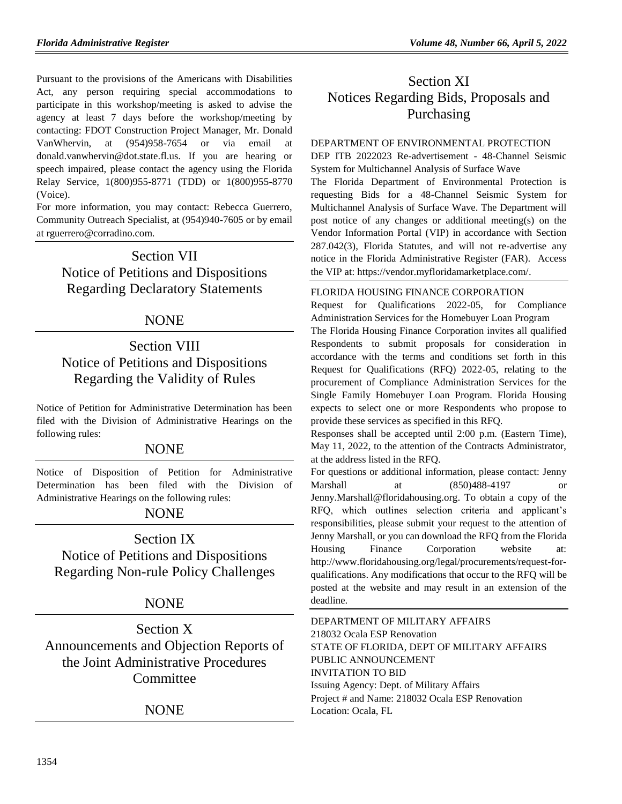Pursuant to the provisions of the Americans with Disabilities Act, any person requiring special accommodations to participate in this workshop/meeting is asked to advise the agency at least 7 days before the workshop/meeting by contacting: FDOT Construction Project Manager, Mr. Donald VanWhervin, at (954)958-7654 or via email at donald.vanwhervin@dot.state.fl.us. If you are hearing or speech impaired, please contact the agency using the Florida Relay Service, 1(800)955-8771 (TDD) or 1(800)955-8770 (Voice).

For more information, you may contact: Rebecca Guerrero, Community Outreach Specialist, at (954)940-7605 or by email at rguerrero@corradino.com.

Section VII Notice of Petitions and Dispositions Regarding Declaratory Statements

# NONE

# Section VIII Notice of Petitions and Dispositions Regarding the Validity of Rules

Notice of Petition for Administrative Determination has been filed with the Division of Administrative Hearings on the following rules:

# NONE

Notice of Disposition of Petition for Administrative Determination has been filed with the Division of Administrative Hearings on the following rules:

# NONE

# Section IX Notice of Petitions and Dispositions Regarding Non-rule Policy Challenges

# NONE

Section X Announcements and Objection Reports of the Joint Administrative Procedures **Committee** 

NONE

# Section XI Notices Regarding Bids, Proposals and Purchasing

## [DEPARTMENT OF ENVIRONMENTAL PROTECTION](https://www.flrules.org/gateway/department.asp?id=62)

DEP ITB 2022023 Re-advertisement - 48-Channel Seismic System for Multichannel Analysis of Surface Wave

The Florida Department of Environmental Protection is requesting Bids for a 48-Channel Seismic System for Multichannel Analysis of Surface Wave. The Department will post notice of any changes or additional meeting(s) on the Vendor Information Portal (VIP) in accordance with Section 287.042(3), Florida Statutes, and will not re-advertise any notice in the Florida Administrative Register (FAR). Access the VIP at: [https://vendor.myfloridamarketplace.com/.](https://vendor.myfloridamarketplace.com/)

## [FLORIDA HOUSING FINANCE CORPORATION](https://www.flrules.org/gateway/department.asp?id=67)

Request for Qualifications 2022-05, for Compliance Administration Services for the Homebuyer Loan Program

The Florida Housing Finance Corporation invites all qualified Respondents to submit proposals for consideration in accordance with the terms and conditions set forth in this Request for Qualifications (RFQ) 2022-05, relating to the procurement of Compliance Administration Services for the Single Family Homebuyer Loan Program. Florida Housing expects to select one or more Respondents who propose to provide these services as specified in this RFQ.

Responses shall be accepted until 2:00 p.m. (Eastern Time), May 11, 2022, to the attention of the Contracts Administrator, at the address listed in the RFQ.

For questions or additional information, please contact: Jenny Marshall at (850)488-4197 [Jenny.Marshall@floridahousing.org.](mailto:Jenny.Marshall@floridahousing.org) To obtain a copy of the RFQ, which outlines selection criteria and applicant's responsibilities, please submit your request to the attention of Jenny Marshall, or you can download the RFQ from the Florida Housing Finance Corporation website at: [http://www.floridahousing.org/legal/procurements/request-for](http://www.floridahousing.org/legal/procurements/request-for-qualifications)[qualifications.](http://www.floridahousing.org/legal/procurements/request-for-qualifications) Any modifications that occur to the RFQ will be posted at the website and may result in an extension of the deadline.

[DEPARTMENT OF MILITARY AFFAIRS](https://www.flrules.org/gateway/department.asp?id=70) 218032 Ocala ESP Renovation STATE OF FLORIDA, DEPT OF MILITARY AFFAIRS PUBLIC ANNOUNCEMENT INVITATION TO BID Issuing Agency: Dept. of Military Affairs Project # and Name: 218032 Ocala ESP Renovation Location: Ocala, FL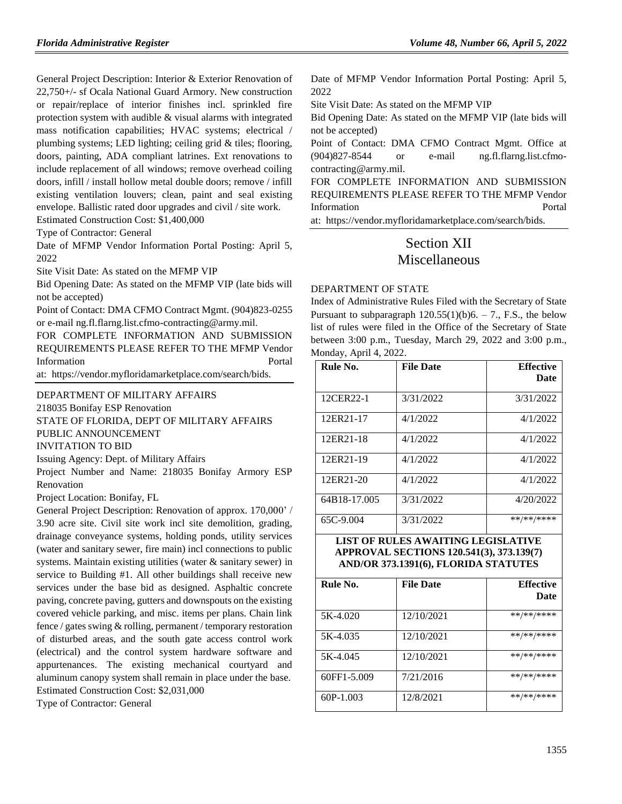General Project Description: Interior & Exterior Renovation of 22,750+/- sf Ocala National Guard Armory. New construction or repair/replace of interior finishes incl. sprinkled fire protection system with audible & visual alarms with integrated mass notification capabilities; HVAC systems; electrical / plumbing systems; LED lighting; ceiling grid & tiles; flooring, doors, painting, ADA compliant latrines. Ext renovations to include replacement of all windows; remove overhead coiling doors, infill / install hollow metal double doors; remove / infill existing ventilation louvers; clean, paint and seal existing envelope. Ballistic rated door upgrades and civil / site work. Estimated Construction Cost: \$1,400,000

Type of Contractor: General

Date of MFMP Vendor Information Portal Posting: April 5, 2022

Site Visit Date: As stated on the MFMP VIP

Bid Opening Date: As stated on the MFMP VIP (late bids will not be accepted)

Point of Contact: DMA CFMO Contract Mgmt. (904)823-0255 or e-mail ng.fl.flarng.list.cfmo-contracting@army.mil.

FOR COMPLETE INFORMATION AND SUBMISSION REQUIREMENTS PLEASE REFER TO THE MFMP Vendor Information Portal

at: https://vendor.myfloridamarketplace.com/search/bids.

#### [DEPARTMENT OF MILITARY AFFAIRS](https://www.flrules.org/gateway/department.asp?id=70)

218035 Bonifay ESP Renovation

STATE OF FLORIDA, DEPT OF MILITARY AFFAIRS PUBLIC ANNOUNCEMENT

# INVITATION TO BID

Issuing Agency: Dept. of Military Affairs

Project Number and Name: 218035 Bonifay Armory ESP Renovation

Project Location: Bonifay, FL

General Project Description: Renovation of approx. 170,000' / 3.90 acre site. Civil site work incl site demolition, grading, drainage conveyance systems, holding ponds, utility services (water and sanitary sewer, fire main) incl connections to public systems. Maintain existing utilities (water & sanitary sewer) in service to Building #1. All other buildings shall receive new services under the base bid as designed. Asphaltic concrete paving, concrete paving, gutters and downspouts on the existing covered vehicle parking, and misc. items per plans. Chain link fence / gates swing & rolling, permanent / temporary restoration of disturbed areas, and the south gate access control work (electrical) and the control system hardware software and appurtenances. The existing mechanical courtyard and aluminum canopy system shall remain in place under the base. Estimated Construction Cost: \$2,031,000

Type of Contractor: General

Date of MFMP Vendor Information Portal Posting: April 5, 2022

Site Visit Date: As stated on the MFMP VIP

Bid Opening Date: As stated on the MFMP VIP (late bids will not be accepted)

Point of Contact: DMA CFMO Contract Mgmt. Office at (904)827-8544 or e-mail ng.fl.flarng.list.cfmocontracting@army.mil.

FOR COMPLETE INFORMATION AND SUBMISSION REQUIREMENTS PLEASE REFER TO THE MFMP Vendor Information Portal

at: https://vendor.myfloridamarketplace.com/search/bids.

# Section XII Miscellaneous

### [DEPARTMENT OF STATE](https://www.flrules.org/gateway/department.asp?id=1)

Index of Administrative Rules Filed with the Secretary of State Pursuant to subparagraph  $120.55(1)(b)6. - 7$ ., F.S., the below list of rules were filed in the Office of the Secretary of State between 3:00 p.m., Tuesday, March 29, 2022 and 3:00 p.m., Monday, April 4, 2022.

| Rule No.     | <b>File Date</b> | <b>Effective</b><br><b>Date</b> |
|--------------|------------------|---------------------------------|
| 12CER22-1    | 3/31/2022        | 3/31/2022                       |
| 12ER21-17    | 4/1/2022         | 4/1/2022                        |
| 12ER21-18    | 4/1/2022         | 4/1/2022                        |
| 12ER21-19    | 4/1/2022         | 4/1/2022                        |
| 12ER21-20    | 4/1/2022         | 4/1/2022                        |
| 64B18-17.005 | 3/31/2022        | 4/20/2022                       |
| 65C-9.004    | 3/31/2022        | **/**/****                      |

### **LIST OF RULES AWAITING LEGISLATIVE APPROVAL SECTIONS 120.541(3), 373.139(7) AND/OR 373.1391(6), FLORIDA STATUTES**

| Rule No.    | <b>File Date</b> | <b>Effective</b> |
|-------------|------------------|------------------|
|             |                  | Date             |
| 5K-4.020    | 12/10/2021       | **/**/****       |
| 5K-4.035    | 12/10/2021       | **/**/****       |
| 5K-4.045    | 12/10/2021       | **/**/****       |
| 60FF1-5.009 | 7/21/2016        | **/**/****       |
| 60P-1.003   | 12/8/2021        | **/**/****       |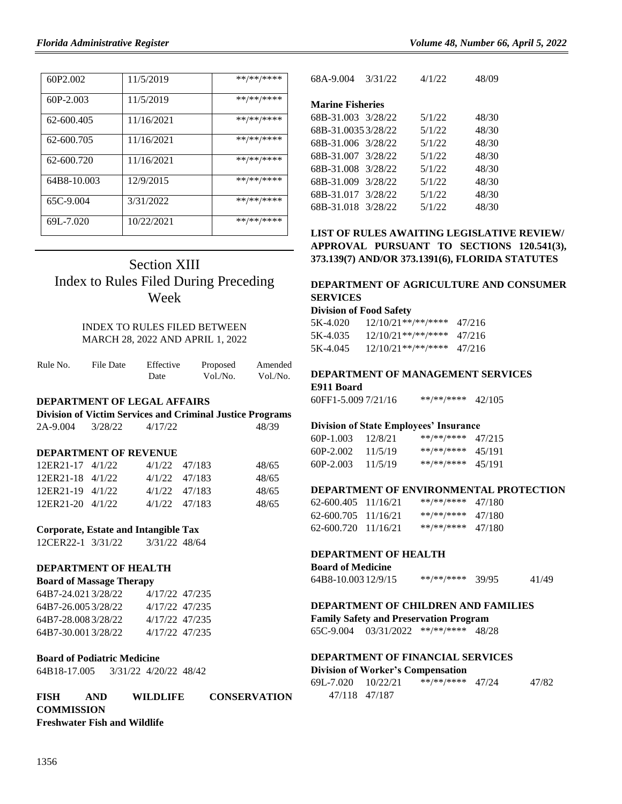| 60P <sub>2.002</sub> | 11/5/2019  | **/**/**** |
|----------------------|------------|------------|
| $60P-2.003$          | 11/5/2019  | **/**/**** |
| 62-600.405           | 11/16/2021 | **/**/**** |
| 62-600.705           | 11/16/2021 | **/**/**** |
| 62-600.720           | 11/16/2021 | **/**/**** |
| 64B8-10.003          | 12/9/2015  | **/**/**** |
| 65C-9.004            | 3/31/2022  | **/**/**** |
| 69L-7.020            | 10/22/2021 | **/**/**** |

# Section XIII Index to Rules Filed During Preceding Week

## INDEX TO RULES FILED BETWEEN MARCH 28, 2022 AND APRIL 1, 2022

| Rule No. | File Date | Effective | Proposed | Amended  |
|----------|-----------|-----------|----------|----------|
|          |           | Date      | Vol./No. | Vol./No. |

### **DEPARTMENT OF LEGAL AFFAIRS**

|          |         |         | <b>Division of Victim Services and Criminal Justice Programs</b> |
|----------|---------|---------|------------------------------------------------------------------|
| 2A-9.004 | 3/28/22 | 4/17/22 | 48/39                                                            |

#### **DEPARTMENT OF REVENUE**

| 12ER21-17 4/1/22 |  | 4/1/22 47/183     | 48/65 |
|------------------|--|-------------------|-------|
| 12ER21-18 4/1/22 |  | $4/1/22$ $47/183$ | 48/65 |
| 12ER21-19 4/1/22 |  | $4/1/22$ $47/183$ | 48/65 |
| 12ER21-20 4/1/22 |  | 4/1/22 47/183     | 48/65 |

#### **Corporate, Estate and Intangible Tax**

12CER22-1 3/31/22 3/31/22 48/64

## **DEPARTMENT OF HEALTH**

| <b>Board of Massage Therapy</b> |                |  |  |
|---------------------------------|----------------|--|--|
| 64B7-24.0213/28/22              | 4/17/22 47/235 |  |  |
| 64B7-26.0053/28/22              | 4/17/22 47/235 |  |  |
| 64B7-28.0083/28/22              | 4/17/22 47/235 |  |  |
| 64B7-30.0013/28/22              | 4/17/22 47/235 |  |  |

#### **Board of Podiatric Medicine**

64B18-17.005 3/31/22 4/20/22 48/42

### **FISH AND WILDLIFE CONSERVATION COMMISSION Freshwater Fish and Wildlife**

| 68A-9.004               | 3/31/22 | 4/1/22 | 48/09 |
|-------------------------|---------|--------|-------|
|                         |         |        |       |
| <b>Marine Fisheries</b> |         |        |       |
| 68B-31.003 3/28/22      |         | 5/1/22 | 48/30 |
| 68B-31.00353/28/22      |         | 5/1/22 | 48/30 |
| 68B-31.006 3/28/22      |         | 5/1/22 | 48/30 |
| 68B-31.007 3/28/22      |         | 5/1/22 | 48/30 |
| 68B-31.008              | 3/28/22 | 5/1/22 | 48/30 |
| 68B-31.009              | 3/28/22 | 5/1/22 | 48/30 |
| 68B-31.017              | 3/28/22 | 5/1/22 | 48/30 |
| 68B-31.018 3/28/22      |         | 5/1/22 | 48/30 |

## **LIST OF RULES AWAITING LEGISLATIVE REVIEW/ APPROVAL PURSUANT TO SECTIONS 120.541(3), 373.139(7) AND/OR 373.1391(6), FLORIDA STATUTES**

## **DEPARTMENT OF AGRICULTURE AND CONSUMER SERVICES**

#### **Division of Food Safety**

| 5K-4.020 | $12/10/21$ **/**/**** | 47/216 |
|----------|-----------------------|--------|
| 5K-4.035 | $12/10/21**$ /**/**** | 47/216 |
| 5K-4.045 | $12/10/21**$ /**/**** | 47/216 |

# **DEPARTMENT OF MANAGEMENT SERVICES**

| E911 Board |  |
|------------|--|
|            |  |

60FF1-5.009 7/21/16 \*\*/\*\*/\*\*\*\* 42/105

#### **Division of State Employees' Insurance**

| 60P-1.003 | 12/8/21 | **/**/**** | 47/215 |
|-----------|---------|------------|--------|
| 60P-2.002 | 11/5/19 | **/**/**** | 45/191 |
| 60P-2.003 | 11/5/19 | **/**/**** | 45/191 |

#### **DEPARTMENT OF ENVIRONMENTAL PROTECTION**

| $62-600.405$ 11/16/21 | **/**/**** | 47/180 |
|-----------------------|------------|--------|
| 62-600.705 11/16/21   | **/**/**** | 47/180 |
| $62-600.720$ 11/16/21 | **/**/**** | 47/180 |

### **DEPARTMENT OF HEALTH**

| <b>Board of Medicine</b> |            |       |       |
|--------------------------|------------|-------|-------|
| 64B8-10.003 12/9/15      | **/**/**** | 39/95 | 41/49 |

## **DEPARTMENT OF CHILDREN AND FAMILIES**

**Family Safety and Preservation Program**

65C-9.004 03/31/2022 \*\*/\*\*/\*\*\*\* 48/28

### **DEPARTMENT OF FINANCIAL SERVICES Division of Worker's Compensation**

| 69L-7.020 | 10/22/21      | **/**/**** 47/24 | 47/82 |
|-----------|---------------|------------------|-------|
|           | 47/118 47/187 |                  |       |